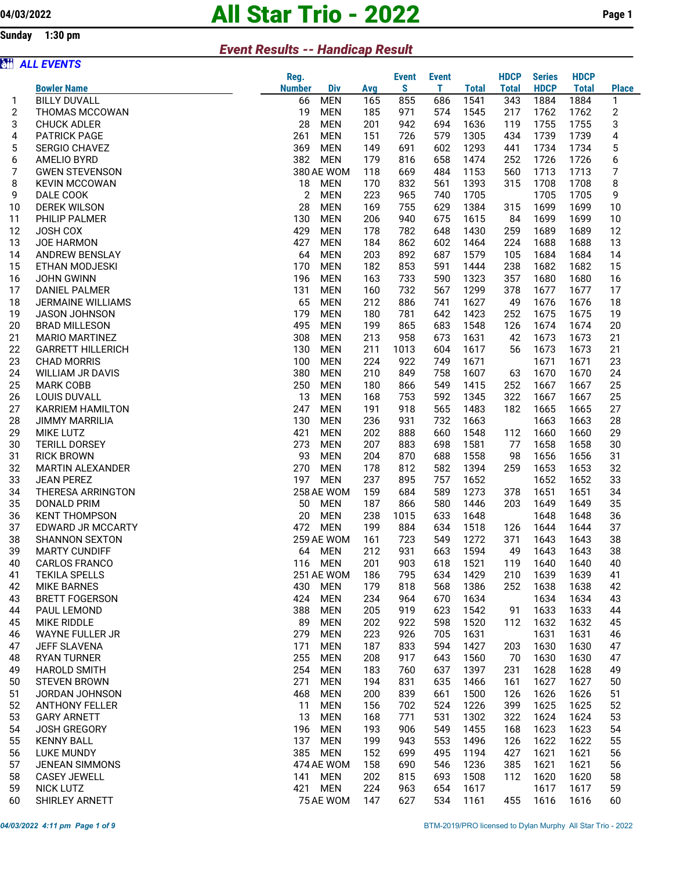## Sunday 1:30 pm

# 04/03/2022 **All Star Trio - 2022** Page 1

### Event Results -- Handicap Result

| <b>ail</b>       | <b>ALL EVENTS</b>        |                             |            |              |              |              |              |               |              |                         |
|------------------|--------------------------|-----------------------------|------------|--------------|--------------|--------------|--------------|---------------|--------------|-------------------------|
|                  |                          | Reg.                        |            | <b>Event</b> | <b>Event</b> |              | <b>HDCP</b>  | <b>Series</b> | <b>HDCP</b>  |                         |
|                  | <b>Bowler Name</b>       | <b>Number</b><br><b>Div</b> | Avg        | S            | т            | <b>Total</b> | <b>Total</b> | <b>HDCP</b>   | <b>Total</b> | <b>Place</b>            |
| 1                | <b>BILLY DUVALL</b>      | <b>MEN</b><br>66            | 165        | 855          | 686          | 1541         | 343          | 1884          | 1884         | 1                       |
| $\boldsymbol{2}$ | THOMAS MCCOWAN           | 19<br><b>MEN</b>            | 185        | 971          | 574          | 1545         | 217          | 1762          | 1762         | $\overline{\mathbf{c}}$ |
| 3                | <b>CHUCK ADLER</b>       | 28<br><b>MEN</b>            | 201        | 942          | 694          | 1636         | 119          | 1755          | 1755         | 3                       |
| 4                | <b>PATRICK PAGE</b>      | 261<br><b>MEN</b>           | 151        | 726          | 579          | 1305         | 434          | 1739          | 1739         | 4                       |
| 5                | SERGIO CHAVEZ            | 369<br><b>MEN</b>           | 149        | 691          | 602          | 1293         | 441          | 1734          | 1734         | $\mathbf 5$             |
| 6                | AMELIO BYRD              | 382<br><b>MEN</b>           | 179        | 816          | 658          | 1474         | 252          | 1726          | 1726         | 6                       |
| 7                | <b>GWEN STEVENSON</b>    | 380 AE WOM                  | 118        | 669          | 484          | 1153         | 560          | 1713          | 1713         | 7                       |
| 8                | <b>KEVIN MCCOWAN</b>     | <b>MEN</b><br>18            | 170        | 832          | 561          | 1393         | 315          | 1708          | 1708         | 8                       |
| 9                | DALE COOK                | $\mathbf{2}$<br>MEN         | 223        | 965          | 740          | 1705         |              | 1705          | 1705         | 9                       |
| 10               | <b>DEREK WILSON</b>      | 28<br><b>MEN</b>            | 169        | 755          | 629          | 1384         | 315          | 1699          | 1699         | 10                      |
| 11               | PHILIP PALMER            | 130<br>MEN                  | 206        | 940          | 675          | 1615         | 84           | 1699          | 1699         | 10                      |
| 12               | JOSH COX                 | 429<br><b>MEN</b>           | 178        | 782          | 648          | 1430         | 259          | 1689          | 1689         | 12                      |
| 13               | <b>JOE HARMON</b>        | 427<br><b>MEN</b>           | 184        | 862          | 602          | 1464         | 224          | 1688          | 1688         | 13                      |
| 14               | ANDREW BENSLAY           | 64<br><b>MEN</b>            | 203        | 892          | 687          | 1579         | 105          | 1684          | 1684         | 14                      |
| 15               | ETHAN MODJESKI           | 170<br><b>MEN</b>           | 182        | 853          | 591          | 1444         | 238          | 1682          | 1682         | 15                      |
| 16               | <b>JOHN GWINN</b>        | 196<br>MEN                  | 163        | 733          | 590          | 1323         | 357          | 1680          | 1680         | 16                      |
| 17               | <b>DANIEL PALMER</b>     | 131<br><b>MEN</b>           | 160        | 732          | 567          | 1299         | 378          | 1677          | 1677         | 17                      |
| 18               | <b>JERMAINE WILLIAMS</b> | 65<br><b>MEN</b>            | 212        | 886          | 741          | 1627         | 49           | 1676          | 1676         | 18                      |
| 19               | <b>JASON JOHNSON</b>     | 179<br>MEN                  | 180        | 781          | 642          | 1423         | 252          | 1675          | 1675         | 19                      |
| 20               | <b>BRAD MILLESON</b>     | 495<br><b>MEN</b>           | 199        | 865          | 683          | 1548         | 126          | 1674          | 1674         | 20                      |
| 21               | <b>MARIO MARTINEZ</b>    | 308<br>MEN                  | 213        | 958          | 673          | 1631         | 42           | 1673          | 1673         | 21                      |
| 22               | <b>GARRETT HILLERICH</b> | 130<br><b>MEN</b>           | 211        | 1013         | 604          | 1617         | 56           | 1673          | 1673         | 21                      |
| 23               | <b>CHAD MORRIS</b>       | 100<br><b>MEN</b>           | 224        | 922          | 749          | 1671         |              | 1671          | 1671         | 23                      |
| 24               | <b>WILLIAM JR DAVIS</b>  | 380<br><b>MEN</b>           | 210        | 849          | 758          | 1607         | 63           | 1670          | 1670         | 24                      |
| 25               | <b>MARK COBB</b>         | 250<br><b>MEN</b>           | 180        | 866          | 549          | 1415         | 252          | 1667          | 1667         | 25                      |
| 26               | <b>LOUIS DUVALL</b>      | 13<br>MEN                   | 168        | 753          | 592          | 1345         | 322          | 1667          | 1667         | 25                      |
| 27               | <b>KARRIEM HAMILTON</b>  | 247<br><b>MEN</b>           | 191        | 918          | 565          | 1483         | 182          | 1665          | 1665         | 27                      |
| 28               | <b>JIMMY MARRILIA</b>    | 130<br><b>MEN</b>           | 236        | 931          | 732          | 1663         |              | 1663          | 1663         | 28                      |
| 29               | <b>MIKE LUTZ</b>         | 421<br><b>MEN</b>           | 202        | 888          | 660          | 1548         | 112          | 1660          | 1660         | 29                      |
| 30               | <b>TERILL DORSEY</b>     | 273<br><b>MEN</b>           | 207        | 883          | 698          | 1581         | 77           | 1658          | 1658         | 30                      |
| 31               | <b>RICK BROWN</b>        | 93<br>MEN                   | 204        | 870          | 688          | 1558         | 98           | 1656          | 1656         | 31                      |
| 32               | <b>MARTIN ALEXANDER</b>  | 270<br><b>MEN</b>           | 178        | 812          | 582          | 1394         | 259          | 1653          | 1653         | 32                      |
| 33               | <b>JEAN PEREZ</b>        | 197<br><b>MEN</b>           | 237        | 895          | 757          | 1652         |              | 1652          | 1652         | 33                      |
|                  | <b>THERESA ARRINGTON</b> |                             |            |              |              |              |              |               |              |                         |
| 34               | <b>DONALD PRIM</b>       | 258 AE WOM                  | 159        | 684          | 589          | 1273         | 378          | 1651          | 1651         | 34                      |
| 35               |                          | 50<br><b>MEN</b>            | 187        | 866          | 580          | 1446         | 203          | 1649          | 1649         | 35                      |
| 36               | <b>KENT THOMPSON</b>     | 20<br>MEN                   | 238        | 1015         | 633          | 1648         |              | 1648          | 1648         | 36                      |
| 37               | <b>EDWARD JR MCCARTY</b> | 472<br><b>MEN</b>           | 199<br>161 | 884<br>723   | 634<br>549   | 1518         | 126<br>371   | 1644<br>1643  | 1644         | 37                      |
| 38               | <b>SHANNON SEXTON</b>    | 259 AE WOM                  |            |              |              | 1272         |              |               | 1643         | 38                      |
| 39               | <b>MARTY CUNDIFF</b>     | 64<br>MEN                   | 212        | 931          | 663          | 1594         | 49           | 1643          | 1643         | 38                      |
| 40               | CARLOS FRANCO            | 116<br><b>MEN</b>           | 201        | 903          | 618          | 1521         | 119          | 1640          | 1640         | 40                      |
| 41               | <b>TEKILA SPELLS</b>     | 251 AE WOM                  | 186        | 795          | 634          | 1429         | 210          | 1639          | 1639         | 41                      |
| 42               | <b>MIKE BARNES</b>       | 430<br>MEN                  | 179        | 818          | 568          | 1386         | 252          | 1638          | 1638         | 42                      |
| 43               | <b>BRETT FOGERSON</b>    | 424<br><b>MEN</b>           | 234        | 964          | 670          | 1634         |              | 1634          | 1634         | 43                      |
| 44               | PAUL LEMOND              | 388<br>MEN                  | 205        | 919          | 623          | 1542         | 91           | 1633          | 1633         | 44                      |
| 45               | <b>MIKE RIDDLE</b>       | 89<br><b>MEN</b>            | 202        | 922          | 598          | 1520         | 112          | 1632          | 1632         | 45                      |
| 46               | WAYNE FULLER JR          | 279<br>MEN                  | 223        | 926          | 705          | 1631         |              | 1631          | 1631         | 46                      |
| 47               | <b>JEFF SLAVENA</b>      | 171<br>MEN                  | 187        | 833          | 594          | 1427         | 203          | 1630          | 1630         | 47                      |
| 48               | <b>RYAN TURNER</b>       | 255<br>MEN                  | 208        | 917          | 643          | 1560         | 70           | 1630          | 1630         | 47                      |
| 49               | <b>HAROLD SMITH</b>      | 254<br>MEN                  | 183        | 760          | 637          | 1397         | 231          | 1628          | 1628         | 49                      |
| 50               | <b>STEVEN BROWN</b>      | 271<br><b>MEN</b>           | 194        | 831          | 635          | 1466         | 161          | 1627          | 1627         | 50                      |
| 51               | JORDAN JOHNSON           | 468<br>MEN                  | 200        | 839          | 661          | 1500         | 126          | 1626          | 1626         | 51                      |
| 52               | <b>ANTHONY FELLER</b>    | 11<br>MEN                   | 156        | 702          | 524          | 1226         | 399          | 1625          | 1625         | 52                      |
| 53               | <b>GARY ARNETT</b>       | 13<br><b>MEN</b>            | 168        | 771          | 531          | 1302         | 322          | 1624          | 1624         | 53                      |
| 54               | <b>JOSH GREGORY</b>      | 196<br>MEN                  | 193        | 906          | 549          | 1455         | 168          | 1623          | 1623         | 54                      |
| 55               | <b>KENNY BALL</b>        | 137<br><b>MEN</b>           | 199        | 943          | 553          | 1496         | 126          | 1622          | 1622         | 55                      |
| 56               | <b>LUKE MUNDY</b>        | 385<br><b>MEN</b>           | 152        | 699          | 495          | 1194         | 427          | 1621          | 1621         | 56                      |
| 57               | JENEAN SIMMONS           | 474 AE WOM                  | 158        | 690          | 546          | 1236         | 385          | 1621          | 1621         | 56                      |
| 58               | <b>CASEY JEWELL</b>      | <b>MEN</b><br>141           | 202        | 815          | 693          | 1508         | 112          | 1620          | 1620         | 58                      |
| 59               | NICK LUTZ                | 421<br>MEN                  | 224        | 963          | 654          | 1617         |              | 1617          | 1617         | 59                      |
| 60               | SHIRLEY ARNETT           | 75 AE WOM                   | 147        | 627          | 534          | 1161         | 455          | 1616          | 1616         | 60                      |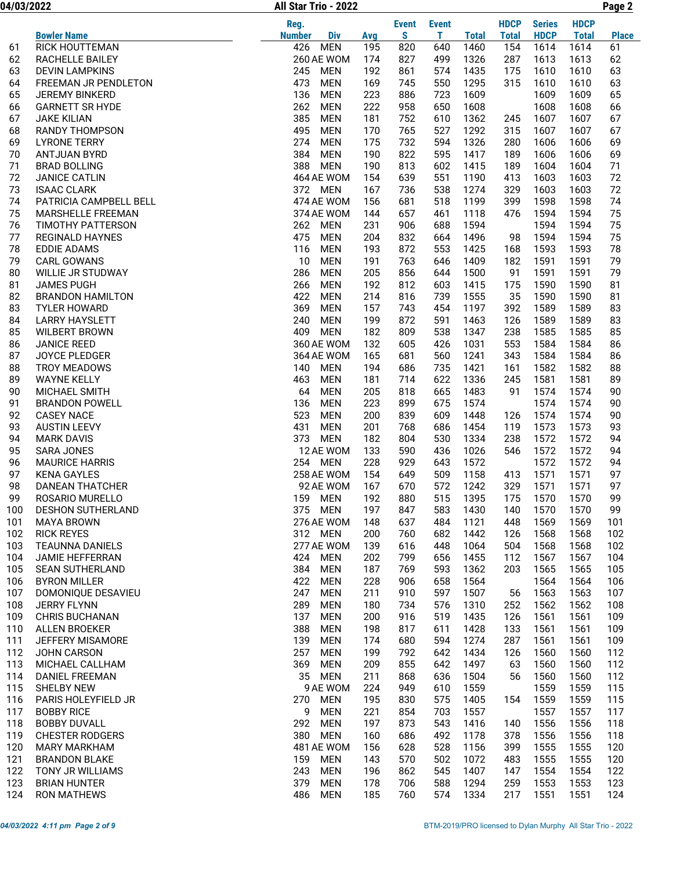### 04/03/2022 Page 2 All Star Trio - 2022

|     |                          | Reg.                        |     | <b>Event</b> | <b>Event</b> |              | <b>HDCP</b>  | <b>Series</b> | <b>HDCP</b>  |              |
|-----|--------------------------|-----------------------------|-----|--------------|--------------|--------------|--------------|---------------|--------------|--------------|
|     | <b>Bowler Name</b>       | <b>Number</b><br><b>Div</b> | Avg | S            | T.           | <b>Total</b> | <b>Total</b> | <b>HDCP</b>   | <b>Total</b> | <b>Place</b> |
| 61  | <b>RICK HOUTTEMAN</b>    | 426<br><b>MEN</b>           | 195 | 820          | 640          | 1460         | 154          | 1614          | 1614         | 61           |
| 62  | <b>RACHELLE BAILEY</b>   | 260 AE WOM                  | 174 | 827          | 499          | 1326         | 287          | 1613          | 1613         | 62           |
| 63  | <b>DEVIN LAMPKINS</b>    | 245<br><b>MEN</b>           | 192 | 861          | 574          | 1435         | 175          | 1610          | 1610         | 63           |
| 64  | FREEMAN JR PENDLETON     | 473<br><b>MEN</b>           | 169 | 745          | 550          | 1295         | 315          | 1610          | 1610         | 63           |
| 65  | <b>JEREMY BINKERD</b>    | 136<br><b>MEN</b>           | 223 | 886          | 723          | 1609         |              | 1609          | 1609         | 65           |
| 66  | <b>GARNETT SR HYDE</b>   | 262<br><b>MEN</b>           | 222 | 958          | 650          | 1608         |              | 1608          | 1608         | 66           |
| 67  | <b>JAKE KILIAN</b>       | 385<br><b>MEN</b>           | 181 | 752          | 610          | 1362         | 245          | 1607          | 1607         | 67           |
| 68  | RANDY THOMPSON           | 495<br><b>MEN</b>           | 170 | 765          | 527          | 1292         | 315          | 1607          | 1607         | 67           |
| 69  | <b>LYRONE TERRY</b>      | 274<br><b>MEN</b>           | 175 | 732          | 594          | 1326         | 280          | 1606          | 1606         | 69           |
| 70  | <b>ANTJUAN BYRD</b>      | 384<br><b>MEN</b>           | 190 | 822          | 595          | 1417         | 189          | 1606          | 1606         | 69           |
| 71  | <b>BRAD BOLLING</b>      | 388<br><b>MEN</b>           | 190 | 813          | 602          | 1415         | 189          | 1604          | 1604         | 71           |
| 72  | <b>JANICE CATLIN</b>     | 464 AE WOM                  | 154 | 639          | 551          | 1190         | 413          | 1603          | 1603         | 72           |
| 73  | <b>ISAAC CLARK</b>       | 372 MEN                     | 167 | 736          | 538          | 1274         | 329          | 1603          | 1603         | 72           |
| 74  | PATRICIA CAMPBELL BELL   | 474 AE WOM                  | 156 | 681          | 518          | 1199         | 399          | 1598          | 1598         | 74           |
| 75  |                          |                             | 144 |              |              |              | 476          |               |              | 75           |
|     | MARSHELLE FREEMAN        | 374 AE WOM                  |     | 657          | 461          | 1118         |              | 1594          | 1594         |              |
| 76  | TIMOTHY PATTERSON        | 262 MEN                     | 231 | 906          | 688          | 1594         |              | 1594          | 1594         | 75           |
| 77  | <b>REGINALD HAYNES</b>   | 475<br><b>MEN</b>           | 204 | 832          | 664          | 1496         | 98           | 1594          | 1594         | 75           |
| 78  | <b>EDDIE ADAMS</b>       | 116<br><b>MEN</b>           | 193 | 872          | 553          | 1425         | 168          | 1593          | 1593         | 78           |
| 79  | <b>CARL GOWANS</b>       | 10<br><b>MEN</b>            | 191 | 763          | 646          | 1409         | 182          | 1591          | 1591         | 79           |
| 80  | <b>WILLIE JR STUDWAY</b> | 286<br><b>MEN</b>           | 205 | 856          | 644          | 1500         | 91           | 1591          | 1591         | 79           |
| 81  | <b>JAMES PUGH</b>        | 266<br><b>MEN</b>           | 192 | 812          | 603          | 1415         | 175          | 1590          | 1590         | 81           |
| 82  | <b>BRANDON HAMILTON</b>  | 422<br><b>MEN</b>           | 214 | 816          | 739          | 1555         | 35           | 1590          | 1590         | 81           |
| 83  | <b>TYLER HOWARD</b>      | 369<br><b>MEN</b>           | 157 | 743          | 454          | 1197         | 392          | 1589          | 1589         | 83           |
| 84  | <b>LARRY HAYSLETT</b>    | 240<br><b>MEN</b>           | 199 | 872          | 591          | 1463         | 126          | 1589          | 1589         | 83           |
| 85  | <b>WILBERT BROWN</b>     | 409<br><b>MEN</b>           | 182 | 809          | 538          | 1347         | 238          | 1585          | 1585         | 85           |
| 86  | <b>JANICE REED</b>       | 360 AE WOM                  | 132 | 605          | 426          | 1031         | 553          | 1584          | 1584         | 86           |
| 87  | JOYCE PLEDGER            | 364 AE WOM                  | 165 | 681          | 560          | 1241         | 343          | 1584          | 1584         | 86           |
| 88  | <b>TROY MEADOWS</b>      | 140<br><b>MEN</b>           | 194 | 686          | 735          | 1421         | 161          | 1582          | 1582         | 88           |
| 89  | <b>WAYNE KELLY</b>       | 463<br><b>MEN</b>           | 181 | 714          | 622          | 1336         | 245          | 1581          | 1581         | 89           |
| 90  | <b>MICHAEL SMITH</b>     | 64<br><b>MEN</b>            | 205 | 818          | 665          | 1483         | 91           | 1574          | 1574         | 90           |
| 91  | <b>BRANDON POWELL</b>    | <b>MEN</b><br>136           | 223 | 899          | 675          | 1574         |              | 1574          | 1574         | 90           |
| 92  | <b>CASEY NACE</b>        | 523<br><b>MEN</b>           | 200 | 839          | 609          | 1448         | 126          | 1574          | 1574         | 90           |
| 93  | <b>AUSTIN LEEVY</b>      | 431<br><b>MEN</b>           | 201 | 768          | 686          | 1454         | 119          | 1573          | 1573         | 93           |
| 94  | <b>MARK DAVIS</b>        | 373<br><b>MEN</b>           | 182 | 804          | 530          | 1334         | 238          | 1572          | 1572         | 94           |
| 95  | <b>SARA JONES</b>        | 12 AE WOM                   | 133 | 590          | 436          | 1026         | 546          | 1572          | 1572         | 94           |
| 96  | <b>MAURICE HARRIS</b>    | 254 MEN                     | 228 | 929          | 643          | 1572         |              | 1572          | 1572         | 94           |
| 97  | <b>KENA GAYLES</b>       | 258 AE WOM                  | 154 | 649          | 509          | 1158         | 413          | 1571          | 1571         | 97           |
| 98  | <b>DANEAN THATCHER</b>   | 92 AE WOM                   | 167 | 670          | 572          | 1242         | 329          | 1571          | 1571         | 97           |
| 99  | ROSARIO MURELLO          | 159<br><b>MEN</b>           | 192 | 880          | 515          | 1395         | 175          | 1570          | 1570         | 99           |
| 100 | DESHON SUTHERLAND        | 375 MEN                     | 197 | 847          | 583          | 1430         | 140          | 1570          | 1570         | 99           |
| 101 | <b>MAYA BROWN</b>        | 276 AE WOM                  | 148 | 637          | 484          | 1121         | 448          | 1569          | 1569         | 101          |
| 102 | <b>RICK REYES</b>        | 312 MEN                     | 200 | 760          | 682          | 1442         | 126          | 1568          | 1568         | 102          |
| 103 | <b>TEAUNNA DANIELS</b>   | 277 AE WOM                  | 139 | 616          | 448          | 1064         | 504          | 1568          | 1568         | 102          |
| 104 | JAMIE HEFFERRAN          | 424<br>MEN                  | 202 | 799          | 656          | 1455         | 112          | 1567          | 1567         | 104          |
| 105 | <b>SEAN SUTHERLAND</b>   | 384<br><b>MEN</b>           | 187 | 769          | 593          | 1362         | 203          | 1565          | 1565         | 105          |
| 106 | <b>BYRON MILLER</b>      | 422<br><b>MEN</b>           | 228 | 906          | 658          | 1564         |              | 1564          | 1564         | 106          |
| 107 | DOMONIQUE DESAVIEU       | 247<br>MEN                  | 211 | 910          | 597          | 1507         | 56           | 1563          | 1563         | 107          |
| 108 | JERRY FLYNN              | 289<br><b>MEN</b>           | 180 | 734          | 576          | 1310         | 252          | 1562          | 1562         | 108          |
|     | <b>CHRIS BUCHANAN</b>    |                             |     |              |              |              |              |               |              |              |
| 109 |                          | 137<br><b>MEN</b>           | 200 | 916          | 519          | 1435         | 126          | 1561          | 1561         | 109          |
| 110 | <b>ALLEN BROEKER</b>     | 388<br><b>MEN</b>           | 198 | 817          | 611          | 1428         | 133          | 1561          | 1561         | 109          |
| 111 | JEFFERY MISAMORE         | 139<br>MEN                  | 174 | 680          | 594          | 1274         | 287          | 1561          | 1561         | 109          |
| 112 | <b>JOHN CARSON</b>       | 257<br>MEN                  | 199 | 792          | 642          | 1434         | 126          | 1560          | 1560         | 112          |
| 113 | MICHAEL CALLHAM          | 369<br><b>MEN</b>           | 209 | 855          | 642          | 1497         | 63           | 1560          | 1560         | 112          |
| 114 | DANIEL FREEMAN           | 35<br><b>MEN</b>            | 211 | 868          | 636          | 1504         | 56           | 1560          | 1560         | 112          |
| 115 | SHELBY NEW               | 9 AE WOM                    | 224 | 949          | 610          | 1559         |              | 1559          | 1559         | 115          |
| 116 | PARIS HOLEYFIELD JR      | 270<br><b>MEN</b>           | 195 | 830          | 575          | 1405         | 154          | 1559          | 1559         | 115          |
| 117 | <b>BOBBY RICE</b>        | 9<br><b>MEN</b>             | 221 | 854          | 703          | 1557         |              | 1557          | 1557         | 117          |
| 118 | <b>BOBBY DUVALL</b>      | 292<br><b>MEN</b>           | 197 | 873          | 543          | 1416         | 140          | 1556          | 1556         | 118          |
| 119 | <b>CHESTER RODGERS</b>   | 380<br><b>MEN</b>           | 160 | 686          | 492          | 1178         | 378          | 1556          | 1556         | 118          |
| 120 | <b>MARY MARKHAM</b>      | 481 AE WOM                  | 156 | 628          | 528          | 1156         | 399          | 1555          | 1555         | 120          |
| 121 | <b>BRANDON BLAKE</b>     | 159<br>MEN                  | 143 | 570          | 502          | 1072         | 483          | 1555          | 1555         | 120          |
| 122 | TONY JR WILLIAMS         | 243<br>MEN                  | 196 | 862          | 545          | 1407         | 147          | 1554          | 1554         | 122          |
| 123 | <b>BRIAN HUNTER</b>      | 379<br><b>MEN</b>           | 178 | 706          | 588          | 1294         | 259          | 1553          | 1553         | 123          |
| 124 | <b>RON MATHEWS</b>       | 486<br><b>MEN</b>           | 185 | 760          | 574          | 1334         | 217          | 1551          | 1551         | 124          |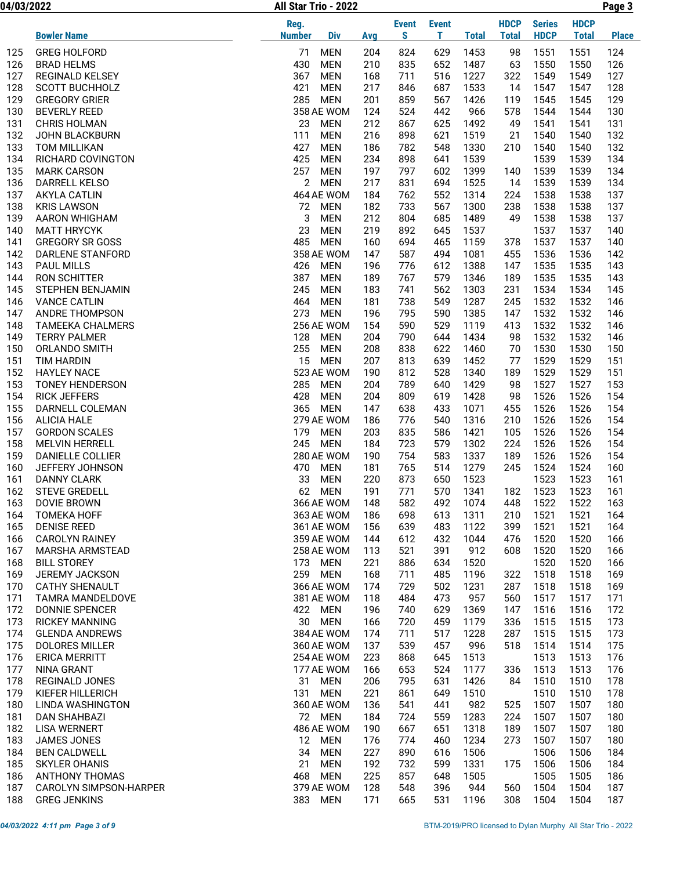04/03/2022 Page 3 All Star Trio - 2022

| 1453<br><b>GREG HOLFORD</b><br>71<br><b>MEN</b><br>204<br>824<br>629<br>98<br>1551<br>1551<br>124<br>125<br>430<br>126<br>126<br><b>BRAD HELMS</b><br><b>MEN</b><br>210<br>835<br>652<br>1487<br>63<br>1550<br>1550<br>367<br>1549<br>127<br>127<br><b>REGINALD KELSEY</b><br><b>MEN</b><br>168<br>711<br>516<br>1227<br>322<br>1549<br>128<br><b>SCOTT BUCHHOLZ</b><br>421<br><b>MEN</b><br>217<br>1533<br>1547<br>1547<br>128<br>846<br>687<br>14<br>129<br>285<br><b>GREGORY GRIER</b><br><b>MEN</b><br>201<br>859<br>567<br>1426<br>119<br>1545<br>1545<br>129<br>130<br>1544<br>130<br><b>BEVERLY REED</b><br>358 AE WOM<br>124<br>524<br>442<br>966<br>578<br>1544<br>23<br><b>MEN</b><br>212<br>131<br>131<br><b>CHRIS HOLMAN</b><br>867<br>625<br>1492<br>1541<br>1541<br>49<br>132<br>132<br><b>JOHN BLACKBURN</b><br>111<br><b>MEN</b><br>216<br>898<br>621<br>1519<br>21<br>1540<br>1540<br>133<br>427<br><b>MEN</b><br>782<br>1330<br>1540<br>1540<br>132<br><b>TOM MILLIKAN</b><br>186<br>548<br>210<br>425<br>1539<br>134<br>RICHARD COVINGTON<br><b>MEN</b><br>234<br>898<br>641<br>1539<br>1539<br>134<br>135<br>257<br><b>MEN</b><br>1399<br>1539<br>134<br><b>MARK CARSON</b><br>197<br>797<br>602<br>1539<br>140<br>$\overline{2}$<br><b>MEN</b><br>1525<br>1539<br>134<br>136<br>DARRELL KELSO<br>217<br>831<br>694<br>1539<br>14<br>1538<br>137<br>137<br><b>AKYLA CATLIN</b><br>464 AE WOM<br>184<br>762<br>552<br>1314<br>224<br>1538<br>138<br>182<br>733<br>567<br>1300<br>238<br>1538<br>1538<br>137<br><b>KRIS LAWSON</b><br>72<br>MEN<br>3<br>1538<br>139<br><b>MEN</b><br>212<br>804<br>685<br>1489<br>49<br>1538<br>137<br>AARON WHIGHAM<br>1537<br>1537<br>1537<br>140<br><b>MATT HRYCYK</b><br>23<br><b>MEN</b><br>219<br>892<br>645<br>140<br>485<br>1537<br>141<br><b>GREGORY SR GOSS</b><br><b>MEN</b><br>160<br>694<br>465<br>1159<br>378<br>1537<br>140<br>1536<br>1536<br>142<br><b>DARLENE STANFORD</b><br>358 AE WOM<br>147<br>587<br>494<br>1081<br>455<br>142<br>143<br><b>PAUL MILLS</b><br>426<br>1388<br>1535<br>1535<br>143<br>MEN<br>196<br>776<br>612<br>147<br>387<br>1535<br>144<br>RON SCHITTER<br><b>MEN</b><br>189<br>767<br>579<br>1346<br>189<br>1535<br>143<br>145<br>1303<br>1534<br>145<br>STEPHEN BENJAMIN<br>245<br><b>MEN</b><br>183<br>741<br>562<br>231<br>1534<br><b>MEN</b><br>1532<br>146<br><b>VANCE CATLIN</b><br>464<br>181<br>738<br>549<br>1287<br>245<br>1532<br>146<br><b>MEN</b><br>1532<br>147<br>ANDRE THOMPSON<br>273<br>196<br>795<br>590<br>1385<br>147<br>1532<br>146<br>148<br>256 AE WOM<br>154<br>590<br>529<br>1119<br>1532<br>1532<br>146<br><b>TAMEEKA CHALMERS</b><br>413<br>1434<br>1532<br>149<br>128<br><b>MEN</b><br>204<br>790<br>644<br>98<br>1532<br>146<br><b>TERRY PALMER</b><br>255<br><b>MEN</b><br>1460<br>1530<br>150<br>150<br>ORLANDO SMITH<br>208<br>838<br>622<br>70<br>1530<br>15<br>1452<br>1529<br>151<br>151<br><b>TIM HARDIN</b><br><b>MEN</b><br>207<br>813<br>639<br>77<br>1529<br>152<br>1340<br>1529<br>1529<br>151<br><b>HAYLEY NACE</b><br>523 AE WOM<br>190<br>812<br>528<br>189<br>153<br>285<br>204<br>789<br>1429<br>1527<br>1527<br>153<br><b>TONEY HENDERSON</b><br><b>MEN</b><br>640<br>98<br>154<br>1526<br><b>RICK JEFFERS</b><br>428<br><b>MEN</b><br>204<br>809<br>1428<br>98<br>1526<br>154<br>619<br>155<br>1071<br>1526<br>154<br>DARNELL COLEMAN<br>365<br><b>MEN</b><br>147<br>638<br>433<br>455<br>1526<br>1526<br>154<br>156<br><b>ALICIA HALE</b><br>279 AE WOM<br>186<br>776<br>540<br>1316<br>210<br>1526<br>1526<br>157<br><b>GORDON SCALES</b><br>179<br><b>MEN</b><br>203<br>835<br>586<br>1421<br>105<br>1526<br>154<br>158<br>MELVIN HERRELL<br>245<br>723<br>579<br>1302<br>224<br>1526<br>1526<br>154<br>MEN<br>184<br>1526<br>159<br>280 AE WOM<br>754<br>583<br>1337<br>189<br>1526<br>154<br>DANIELLE COLLIER<br>190<br>1279<br>1524<br>160<br>JEFFERY JOHNSON<br>470<br><b>MEN</b><br>181<br>765<br>514<br>245<br>1524<br>160<br>33<br>1523<br>1523<br>161<br><b>DANNY CLARK</b><br><b>MEN</b><br>220<br>873<br>650<br>1523<br>161<br>1523<br>162<br><b>MEN</b><br>1341<br>1523<br><b>STEVE GREDELL</b><br>62<br>191<br>771<br>570<br>182<br>161<br>582<br>492<br>1522<br>1522<br>163<br><b>DOVIE BROWN</b><br>366 AE WOM<br>148<br>1074<br>448<br>163<br><b>TOMEKA HOFF</b><br>363 AE WOM<br>186<br>698<br>1311<br>1521<br>1521<br>164<br>164<br>613<br>210<br>1122<br>1521<br>1521<br>165<br><b>DENISE REED</b><br>361 AE WOM<br>156<br>639<br>483<br>399<br>164<br><b>CAROLYN RAINEY</b><br>359 AE WOM<br>612<br>432<br>1044<br>476<br>1520<br>1520<br>166<br>166<br>144<br>167<br><b>MARSHA ARMSTEAD</b><br>521<br>391<br>912<br>608<br>1520<br>1520<br>166<br>258 AE WOM<br>113<br>1520<br>1520<br>1520<br>168<br><b>BILL STOREY</b><br>173 MEN<br>221<br>886<br>634<br>166<br>169<br>259<br><b>MEN</b><br>485<br>1196<br>322<br>1518<br>1518<br><b>JEREMY JACKSON</b><br>168<br>711<br>169<br>170<br><b>CATHY SHENAULT</b><br>366 AE WOM<br>174<br>729<br>502<br>1231<br>287<br>1518<br>1518<br>169<br>171<br>381 AE WOM<br>118<br>473<br>957<br>1517<br>171<br>TAMRA MANDELDOVE<br>484<br>560<br>1517<br>172<br>DONNIE SPENCER<br>422<br><b>MEN</b><br>629<br>1369<br>1516<br>1516<br>172<br>196<br>740<br>147<br>30<br>MEN<br>1515<br>173<br>173<br><b>RICKEY MANNING</b><br>166<br>720<br>459<br>1179<br>336<br>1515<br>174<br>384 AE WOM<br>711<br>517<br>1228<br>287<br>1515<br>1515<br>173<br><b>GLENDA ANDREWS</b><br>174<br>175<br><b>DOLORES MILLER</b><br>137<br>539<br>457<br>996<br>1514<br>1514<br>175<br>360 AE WOM<br>518<br>176<br><b>ERICA MERRITT</b><br>254 AE WOM<br>645<br>1513<br>1513<br>1513<br>176<br>223<br>868<br>177<br><b>NINA GRANT</b><br>177 AE WOM<br>653<br>524<br>1177<br>1513<br>1513<br>176<br>166<br>336<br>1510<br>1510<br>178<br>178<br><b>REGINALD JONES</b><br>31<br>MEN<br>206<br>795<br>631<br>1426<br>84<br>179<br>131<br><b>MEN</b><br>221<br>1510<br>1510<br>1510<br>178<br>KIEFER HILLERICH<br>861<br>649<br>180<br>LINDA WASHINGTON<br>360 AE WOM<br>541<br>441<br>982<br>1507<br>1507<br>136<br>525<br>180<br>72 MEN<br>724<br>559<br>1283<br>224<br>1507<br>1507<br>181<br>DAN SHAHBAZI<br>184<br>180<br>182<br><b>LISA WERNERT</b><br>486 AE WOM<br>651<br>1318<br>189<br>1507<br>1507<br>180<br>190<br>667<br>183<br>1234<br>JAMES JONES<br>12<br>MEN<br>176<br>774<br>273<br>1507<br>1507<br>180<br>460<br>184<br><b>MEN</b><br>227<br>1506<br>1506<br>1506<br><b>BEN CALDWELL</b><br>34<br>890<br>616<br>184<br>185<br><b>SKYLER OHANIS</b><br>21<br><b>MEN</b><br>192<br>732<br>599<br>1331<br>1506<br>1506<br>184<br>175<br><b>ANTHONY THOMAS</b><br>468<br><b>MEN</b><br>225<br>857<br>1505<br>1505<br>1505<br>186<br>186<br>648<br>187<br>CAROLYN SIMPSON-HARPER<br>379 AE WOM<br>128<br>548<br>396<br>944<br>560<br>1504<br>1504<br>187<br>531<br>1504<br>1504<br>188<br><b>GREG JENKINS</b><br>383 MEN<br>171<br>665<br>1196<br>308<br>187 | <b>Bowler Name</b> | Reg.<br><b>Number</b><br>Div | Avg | <b>Event</b><br>S | <b>Event</b><br>т | <b>Total</b> | <b>HDCP</b><br><b>Total</b> | <b>Series</b><br><b>HDCP</b> | <b>HDCP</b><br><b>Total</b> | <b>Place</b> |
|------------------------------------------------------------------------------------------------------------------------------------------------------------------------------------------------------------------------------------------------------------------------------------------------------------------------------------------------------------------------------------------------------------------------------------------------------------------------------------------------------------------------------------------------------------------------------------------------------------------------------------------------------------------------------------------------------------------------------------------------------------------------------------------------------------------------------------------------------------------------------------------------------------------------------------------------------------------------------------------------------------------------------------------------------------------------------------------------------------------------------------------------------------------------------------------------------------------------------------------------------------------------------------------------------------------------------------------------------------------------------------------------------------------------------------------------------------------------------------------------------------------------------------------------------------------------------------------------------------------------------------------------------------------------------------------------------------------------------------------------------------------------------------------------------------------------------------------------------------------------------------------------------------------------------------------------------------------------------------------------------------------------------------------------------------------------------------------------------------------------------------------------------------------------------------------------------------------------------------------------------------------------------------------------------------------------------------------------------------------------------------------------------------------------------------------------------------------------------------------------------------------------------------------------------------------------------------------------------------------------------------------------------------------------------------------------------------------------------------------------------------------------------------------------------------------------------------------------------------------------------------------------------------------------------------------------------------------------------------------------------------------------------------------------------------------------------------------------------------------------------------------------------------------------------------------------------------------------------------------------------------------------------------------------------------------------------------------------------------------------------------------------------------------------------------------------------------------------------------------------------------------------------------------------------------------------------------------------------------------------------------------------------------------------------------------------------------------------------------------------------------------------------------------------------------------------------------------------------------------------------------------------------------------------------------------------------------------------------------------------------------------------------------------------------------------------------------------------------------------------------------------------------------------------------------------------------------------------------------------------------------------------------------------------------------------------------------------------------------------------------------------------------------------------------------------------------------------------------------------------------------------------------------------------------------------------------------------------------------------------------------------------------------------------------------------------------------------------------------------------------------------------------------------------------------------------------------------------------------------------------------------------------------------------------------------------------------------------------------------------------------------------------------------------------------------------------------------------------------------------------------------------------------------------------------------------------------------------------------------------------------------------------------------------------------------------------------------------------------------------------------------------------------------------------------------------------------------------------------------------------------------------------------------------------------------------------------------------------------------------------------------------------------------------------------------------------------------------------------------------------------------------------------------------------------------------------------------------------------------------------------------------------------------------------------------------------------------------------------------------------------------------------------------------------------------------------------------------------------------------------------------------------------------------------------------------------------------------------------------------------------------------------------------------------------------------------------------------------------------------------------------------------------------------------------------------------------------------------------------------------------------------------------------------------------------------------------------------------------------------------------------------------------------------------------------------------------------------------------------------------------------------------------------------------------------------------------------------------------------------------------------------------------------------------------------------------------------|--------------------|------------------------------|-----|-------------------|-------------------|--------------|-----------------------------|------------------------------|-----------------------------|--------------|
|                                                                                                                                                                                                                                                                                                                                                                                                                                                                                                                                                                                                                                                                                                                                                                                                                                                                                                                                                                                                                                                                                                                                                                                                                                                                                                                                                                                                                                                                                                                                                                                                                                                                                                                                                                                                                                                                                                                                                                                                                                                                                                                                                                                                                                                                                                                                                                                                                                                                                                                                                                                                                                                                                                                                                                                                                                                                                                                                                                                                                                                                                                                                                                                                                                                                                                                                                                                                                                                                                                                                                                                                                                                                                                                                                                                                                                                                                                                                                                                                                                                                                                                                                                                                                                                                                                                                                                                                                                                                                                                                                                                                                                                                                                                                                                                                                                                                                                                                                                                                                                                                                                                                                                                                                                                                                                                                                                                                                                                                                                                                                                                                                                                                                                                                                                                                                                                                                                                                                                                                                                                                                                                                                                                                                                                                                                                                                                                                                                                                                                                                                                                                                                                                                                                                                                                                                                                                                                                                                                  |                    |                              |     |                   |                   |              |                             |                              |                             |              |
|                                                                                                                                                                                                                                                                                                                                                                                                                                                                                                                                                                                                                                                                                                                                                                                                                                                                                                                                                                                                                                                                                                                                                                                                                                                                                                                                                                                                                                                                                                                                                                                                                                                                                                                                                                                                                                                                                                                                                                                                                                                                                                                                                                                                                                                                                                                                                                                                                                                                                                                                                                                                                                                                                                                                                                                                                                                                                                                                                                                                                                                                                                                                                                                                                                                                                                                                                                                                                                                                                                                                                                                                                                                                                                                                                                                                                                                                                                                                                                                                                                                                                                                                                                                                                                                                                                                                                                                                                                                                                                                                                                                                                                                                                                                                                                                                                                                                                                                                                                                                                                                                                                                                                                                                                                                                                                                                                                                                                                                                                                                                                                                                                                                                                                                                                                                                                                                                                                                                                                                                                                                                                                                                                                                                                                                                                                                                                                                                                                                                                                                                                                                                                                                                                                                                                                                                                                                                                                                                                                  |                    |                              |     |                   |                   |              |                             |                              |                             |              |
|                                                                                                                                                                                                                                                                                                                                                                                                                                                                                                                                                                                                                                                                                                                                                                                                                                                                                                                                                                                                                                                                                                                                                                                                                                                                                                                                                                                                                                                                                                                                                                                                                                                                                                                                                                                                                                                                                                                                                                                                                                                                                                                                                                                                                                                                                                                                                                                                                                                                                                                                                                                                                                                                                                                                                                                                                                                                                                                                                                                                                                                                                                                                                                                                                                                                                                                                                                                                                                                                                                                                                                                                                                                                                                                                                                                                                                                                                                                                                                                                                                                                                                                                                                                                                                                                                                                                                                                                                                                                                                                                                                                                                                                                                                                                                                                                                                                                                                                                                                                                                                                                                                                                                                                                                                                                                                                                                                                                                                                                                                                                                                                                                                                                                                                                                                                                                                                                                                                                                                                                                                                                                                                                                                                                                                                                                                                                                                                                                                                                                                                                                                                                                                                                                                                                                                                                                                                                                                                                                                  |                    |                              |     |                   |                   |              |                             |                              |                             |              |
|                                                                                                                                                                                                                                                                                                                                                                                                                                                                                                                                                                                                                                                                                                                                                                                                                                                                                                                                                                                                                                                                                                                                                                                                                                                                                                                                                                                                                                                                                                                                                                                                                                                                                                                                                                                                                                                                                                                                                                                                                                                                                                                                                                                                                                                                                                                                                                                                                                                                                                                                                                                                                                                                                                                                                                                                                                                                                                                                                                                                                                                                                                                                                                                                                                                                                                                                                                                                                                                                                                                                                                                                                                                                                                                                                                                                                                                                                                                                                                                                                                                                                                                                                                                                                                                                                                                                                                                                                                                                                                                                                                                                                                                                                                                                                                                                                                                                                                                                                                                                                                                                                                                                                                                                                                                                                                                                                                                                                                                                                                                                                                                                                                                                                                                                                                                                                                                                                                                                                                                                                                                                                                                                                                                                                                                                                                                                                                                                                                                                                                                                                                                                                                                                                                                                                                                                                                                                                                                                                                  |                    |                              |     |                   |                   |              |                             |                              |                             |              |
|                                                                                                                                                                                                                                                                                                                                                                                                                                                                                                                                                                                                                                                                                                                                                                                                                                                                                                                                                                                                                                                                                                                                                                                                                                                                                                                                                                                                                                                                                                                                                                                                                                                                                                                                                                                                                                                                                                                                                                                                                                                                                                                                                                                                                                                                                                                                                                                                                                                                                                                                                                                                                                                                                                                                                                                                                                                                                                                                                                                                                                                                                                                                                                                                                                                                                                                                                                                                                                                                                                                                                                                                                                                                                                                                                                                                                                                                                                                                                                                                                                                                                                                                                                                                                                                                                                                                                                                                                                                                                                                                                                                                                                                                                                                                                                                                                                                                                                                                                                                                                                                                                                                                                                                                                                                                                                                                                                                                                                                                                                                                                                                                                                                                                                                                                                                                                                                                                                                                                                                                                                                                                                                                                                                                                                                                                                                                                                                                                                                                                                                                                                                                                                                                                                                                                                                                                                                                                                                                                                  |                    |                              |     |                   |                   |              |                             |                              |                             |              |
|                                                                                                                                                                                                                                                                                                                                                                                                                                                                                                                                                                                                                                                                                                                                                                                                                                                                                                                                                                                                                                                                                                                                                                                                                                                                                                                                                                                                                                                                                                                                                                                                                                                                                                                                                                                                                                                                                                                                                                                                                                                                                                                                                                                                                                                                                                                                                                                                                                                                                                                                                                                                                                                                                                                                                                                                                                                                                                                                                                                                                                                                                                                                                                                                                                                                                                                                                                                                                                                                                                                                                                                                                                                                                                                                                                                                                                                                                                                                                                                                                                                                                                                                                                                                                                                                                                                                                                                                                                                                                                                                                                                                                                                                                                                                                                                                                                                                                                                                                                                                                                                                                                                                                                                                                                                                                                                                                                                                                                                                                                                                                                                                                                                                                                                                                                                                                                                                                                                                                                                                                                                                                                                                                                                                                                                                                                                                                                                                                                                                                                                                                                                                                                                                                                                                                                                                                                                                                                                                                                  |                    |                              |     |                   |                   |              |                             |                              |                             |              |
|                                                                                                                                                                                                                                                                                                                                                                                                                                                                                                                                                                                                                                                                                                                                                                                                                                                                                                                                                                                                                                                                                                                                                                                                                                                                                                                                                                                                                                                                                                                                                                                                                                                                                                                                                                                                                                                                                                                                                                                                                                                                                                                                                                                                                                                                                                                                                                                                                                                                                                                                                                                                                                                                                                                                                                                                                                                                                                                                                                                                                                                                                                                                                                                                                                                                                                                                                                                                                                                                                                                                                                                                                                                                                                                                                                                                                                                                                                                                                                                                                                                                                                                                                                                                                                                                                                                                                                                                                                                                                                                                                                                                                                                                                                                                                                                                                                                                                                                                                                                                                                                                                                                                                                                                                                                                                                                                                                                                                                                                                                                                                                                                                                                                                                                                                                                                                                                                                                                                                                                                                                                                                                                                                                                                                                                                                                                                                                                                                                                                                                                                                                                                                                                                                                                                                                                                                                                                                                                                                                  |                    |                              |     |                   |                   |              |                             |                              |                             |              |
|                                                                                                                                                                                                                                                                                                                                                                                                                                                                                                                                                                                                                                                                                                                                                                                                                                                                                                                                                                                                                                                                                                                                                                                                                                                                                                                                                                                                                                                                                                                                                                                                                                                                                                                                                                                                                                                                                                                                                                                                                                                                                                                                                                                                                                                                                                                                                                                                                                                                                                                                                                                                                                                                                                                                                                                                                                                                                                                                                                                                                                                                                                                                                                                                                                                                                                                                                                                                                                                                                                                                                                                                                                                                                                                                                                                                                                                                                                                                                                                                                                                                                                                                                                                                                                                                                                                                                                                                                                                                                                                                                                                                                                                                                                                                                                                                                                                                                                                                                                                                                                                                                                                                                                                                                                                                                                                                                                                                                                                                                                                                                                                                                                                                                                                                                                                                                                                                                                                                                                                                                                                                                                                                                                                                                                                                                                                                                                                                                                                                                                                                                                                                                                                                                                                                                                                                                                                                                                                                                                  |                    |                              |     |                   |                   |              |                             |                              |                             |              |
|                                                                                                                                                                                                                                                                                                                                                                                                                                                                                                                                                                                                                                                                                                                                                                                                                                                                                                                                                                                                                                                                                                                                                                                                                                                                                                                                                                                                                                                                                                                                                                                                                                                                                                                                                                                                                                                                                                                                                                                                                                                                                                                                                                                                                                                                                                                                                                                                                                                                                                                                                                                                                                                                                                                                                                                                                                                                                                                                                                                                                                                                                                                                                                                                                                                                                                                                                                                                                                                                                                                                                                                                                                                                                                                                                                                                                                                                                                                                                                                                                                                                                                                                                                                                                                                                                                                                                                                                                                                                                                                                                                                                                                                                                                                                                                                                                                                                                                                                                                                                                                                                                                                                                                                                                                                                                                                                                                                                                                                                                                                                                                                                                                                                                                                                                                                                                                                                                                                                                                                                                                                                                                                                                                                                                                                                                                                                                                                                                                                                                                                                                                                                                                                                                                                                                                                                                                                                                                                                                                  |                    |                              |     |                   |                   |              |                             |                              |                             |              |
|                                                                                                                                                                                                                                                                                                                                                                                                                                                                                                                                                                                                                                                                                                                                                                                                                                                                                                                                                                                                                                                                                                                                                                                                                                                                                                                                                                                                                                                                                                                                                                                                                                                                                                                                                                                                                                                                                                                                                                                                                                                                                                                                                                                                                                                                                                                                                                                                                                                                                                                                                                                                                                                                                                                                                                                                                                                                                                                                                                                                                                                                                                                                                                                                                                                                                                                                                                                                                                                                                                                                                                                                                                                                                                                                                                                                                                                                                                                                                                                                                                                                                                                                                                                                                                                                                                                                                                                                                                                                                                                                                                                                                                                                                                                                                                                                                                                                                                                                                                                                                                                                                                                                                                                                                                                                                                                                                                                                                                                                                                                                                                                                                                                                                                                                                                                                                                                                                                                                                                                                                                                                                                                                                                                                                                                                                                                                                                                                                                                                                                                                                                                                                                                                                                                                                                                                                                                                                                                                                                  |                    |                              |     |                   |                   |              |                             |                              |                             |              |
|                                                                                                                                                                                                                                                                                                                                                                                                                                                                                                                                                                                                                                                                                                                                                                                                                                                                                                                                                                                                                                                                                                                                                                                                                                                                                                                                                                                                                                                                                                                                                                                                                                                                                                                                                                                                                                                                                                                                                                                                                                                                                                                                                                                                                                                                                                                                                                                                                                                                                                                                                                                                                                                                                                                                                                                                                                                                                                                                                                                                                                                                                                                                                                                                                                                                                                                                                                                                                                                                                                                                                                                                                                                                                                                                                                                                                                                                                                                                                                                                                                                                                                                                                                                                                                                                                                                                                                                                                                                                                                                                                                                                                                                                                                                                                                                                                                                                                                                                                                                                                                                                                                                                                                                                                                                                                                                                                                                                                                                                                                                                                                                                                                                                                                                                                                                                                                                                                                                                                                                                                                                                                                                                                                                                                                                                                                                                                                                                                                                                                                                                                                                                                                                                                                                                                                                                                                                                                                                                                                  |                    |                              |     |                   |                   |              |                             |                              |                             |              |
|                                                                                                                                                                                                                                                                                                                                                                                                                                                                                                                                                                                                                                                                                                                                                                                                                                                                                                                                                                                                                                                                                                                                                                                                                                                                                                                                                                                                                                                                                                                                                                                                                                                                                                                                                                                                                                                                                                                                                                                                                                                                                                                                                                                                                                                                                                                                                                                                                                                                                                                                                                                                                                                                                                                                                                                                                                                                                                                                                                                                                                                                                                                                                                                                                                                                                                                                                                                                                                                                                                                                                                                                                                                                                                                                                                                                                                                                                                                                                                                                                                                                                                                                                                                                                                                                                                                                                                                                                                                                                                                                                                                                                                                                                                                                                                                                                                                                                                                                                                                                                                                                                                                                                                                                                                                                                                                                                                                                                                                                                                                                                                                                                                                                                                                                                                                                                                                                                                                                                                                                                                                                                                                                                                                                                                                                                                                                                                                                                                                                                                                                                                                                                                                                                                                                                                                                                                                                                                                                                                  |                    |                              |     |                   |                   |              |                             |                              |                             |              |
|                                                                                                                                                                                                                                                                                                                                                                                                                                                                                                                                                                                                                                                                                                                                                                                                                                                                                                                                                                                                                                                                                                                                                                                                                                                                                                                                                                                                                                                                                                                                                                                                                                                                                                                                                                                                                                                                                                                                                                                                                                                                                                                                                                                                                                                                                                                                                                                                                                                                                                                                                                                                                                                                                                                                                                                                                                                                                                                                                                                                                                                                                                                                                                                                                                                                                                                                                                                                                                                                                                                                                                                                                                                                                                                                                                                                                                                                                                                                                                                                                                                                                                                                                                                                                                                                                                                                                                                                                                                                                                                                                                                                                                                                                                                                                                                                                                                                                                                                                                                                                                                                                                                                                                                                                                                                                                                                                                                                                                                                                                                                                                                                                                                                                                                                                                                                                                                                                                                                                                                                                                                                                                                                                                                                                                                                                                                                                                                                                                                                                                                                                                                                                                                                                                                                                                                                                                                                                                                                                                  |                    |                              |     |                   |                   |              |                             |                              |                             |              |
|                                                                                                                                                                                                                                                                                                                                                                                                                                                                                                                                                                                                                                                                                                                                                                                                                                                                                                                                                                                                                                                                                                                                                                                                                                                                                                                                                                                                                                                                                                                                                                                                                                                                                                                                                                                                                                                                                                                                                                                                                                                                                                                                                                                                                                                                                                                                                                                                                                                                                                                                                                                                                                                                                                                                                                                                                                                                                                                                                                                                                                                                                                                                                                                                                                                                                                                                                                                                                                                                                                                                                                                                                                                                                                                                                                                                                                                                                                                                                                                                                                                                                                                                                                                                                                                                                                                                                                                                                                                                                                                                                                                                                                                                                                                                                                                                                                                                                                                                                                                                                                                                                                                                                                                                                                                                                                                                                                                                                                                                                                                                                                                                                                                                                                                                                                                                                                                                                                                                                                                                                                                                                                                                                                                                                                                                                                                                                                                                                                                                                                                                                                                                                                                                                                                                                                                                                                                                                                                                                                  |                    |                              |     |                   |                   |              |                             |                              |                             |              |
|                                                                                                                                                                                                                                                                                                                                                                                                                                                                                                                                                                                                                                                                                                                                                                                                                                                                                                                                                                                                                                                                                                                                                                                                                                                                                                                                                                                                                                                                                                                                                                                                                                                                                                                                                                                                                                                                                                                                                                                                                                                                                                                                                                                                                                                                                                                                                                                                                                                                                                                                                                                                                                                                                                                                                                                                                                                                                                                                                                                                                                                                                                                                                                                                                                                                                                                                                                                                                                                                                                                                                                                                                                                                                                                                                                                                                                                                                                                                                                                                                                                                                                                                                                                                                                                                                                                                                                                                                                                                                                                                                                                                                                                                                                                                                                                                                                                                                                                                                                                                                                                                                                                                                                                                                                                                                                                                                                                                                                                                                                                                                                                                                                                                                                                                                                                                                                                                                                                                                                                                                                                                                                                                                                                                                                                                                                                                                                                                                                                                                                                                                                                                                                                                                                                                                                                                                                                                                                                                                                  |                    |                              |     |                   |                   |              |                             |                              |                             |              |
|                                                                                                                                                                                                                                                                                                                                                                                                                                                                                                                                                                                                                                                                                                                                                                                                                                                                                                                                                                                                                                                                                                                                                                                                                                                                                                                                                                                                                                                                                                                                                                                                                                                                                                                                                                                                                                                                                                                                                                                                                                                                                                                                                                                                                                                                                                                                                                                                                                                                                                                                                                                                                                                                                                                                                                                                                                                                                                                                                                                                                                                                                                                                                                                                                                                                                                                                                                                                                                                                                                                                                                                                                                                                                                                                                                                                                                                                                                                                                                                                                                                                                                                                                                                                                                                                                                                                                                                                                                                                                                                                                                                                                                                                                                                                                                                                                                                                                                                                                                                                                                                                                                                                                                                                                                                                                                                                                                                                                                                                                                                                                                                                                                                                                                                                                                                                                                                                                                                                                                                                                                                                                                                                                                                                                                                                                                                                                                                                                                                                                                                                                                                                                                                                                                                                                                                                                                                                                                                                                                  |                    |                              |     |                   |                   |              |                             |                              |                             |              |
|                                                                                                                                                                                                                                                                                                                                                                                                                                                                                                                                                                                                                                                                                                                                                                                                                                                                                                                                                                                                                                                                                                                                                                                                                                                                                                                                                                                                                                                                                                                                                                                                                                                                                                                                                                                                                                                                                                                                                                                                                                                                                                                                                                                                                                                                                                                                                                                                                                                                                                                                                                                                                                                                                                                                                                                                                                                                                                                                                                                                                                                                                                                                                                                                                                                                                                                                                                                                                                                                                                                                                                                                                                                                                                                                                                                                                                                                                                                                                                                                                                                                                                                                                                                                                                                                                                                                                                                                                                                                                                                                                                                                                                                                                                                                                                                                                                                                                                                                                                                                                                                                                                                                                                                                                                                                                                                                                                                                                                                                                                                                                                                                                                                                                                                                                                                                                                                                                                                                                                                                                                                                                                                                                                                                                                                                                                                                                                                                                                                                                                                                                                                                                                                                                                                                                                                                                                                                                                                                                                  |                    |                              |     |                   |                   |              |                             |                              |                             |              |
|                                                                                                                                                                                                                                                                                                                                                                                                                                                                                                                                                                                                                                                                                                                                                                                                                                                                                                                                                                                                                                                                                                                                                                                                                                                                                                                                                                                                                                                                                                                                                                                                                                                                                                                                                                                                                                                                                                                                                                                                                                                                                                                                                                                                                                                                                                                                                                                                                                                                                                                                                                                                                                                                                                                                                                                                                                                                                                                                                                                                                                                                                                                                                                                                                                                                                                                                                                                                                                                                                                                                                                                                                                                                                                                                                                                                                                                                                                                                                                                                                                                                                                                                                                                                                                                                                                                                                                                                                                                                                                                                                                                                                                                                                                                                                                                                                                                                                                                                                                                                                                                                                                                                                                                                                                                                                                                                                                                                                                                                                                                                                                                                                                                                                                                                                                                                                                                                                                                                                                                                                                                                                                                                                                                                                                                                                                                                                                                                                                                                                                                                                                                                                                                                                                                                                                                                                                                                                                                                                                  |                    |                              |     |                   |                   |              |                             |                              |                             |              |
|                                                                                                                                                                                                                                                                                                                                                                                                                                                                                                                                                                                                                                                                                                                                                                                                                                                                                                                                                                                                                                                                                                                                                                                                                                                                                                                                                                                                                                                                                                                                                                                                                                                                                                                                                                                                                                                                                                                                                                                                                                                                                                                                                                                                                                                                                                                                                                                                                                                                                                                                                                                                                                                                                                                                                                                                                                                                                                                                                                                                                                                                                                                                                                                                                                                                                                                                                                                                                                                                                                                                                                                                                                                                                                                                                                                                                                                                                                                                                                                                                                                                                                                                                                                                                                                                                                                                                                                                                                                                                                                                                                                                                                                                                                                                                                                                                                                                                                                                                                                                                                                                                                                                                                                                                                                                                                                                                                                                                                                                                                                                                                                                                                                                                                                                                                                                                                                                                                                                                                                                                                                                                                                                                                                                                                                                                                                                                                                                                                                                                                                                                                                                                                                                                                                                                                                                                                                                                                                                                                  |                    |                              |     |                   |                   |              |                             |                              |                             |              |
|                                                                                                                                                                                                                                                                                                                                                                                                                                                                                                                                                                                                                                                                                                                                                                                                                                                                                                                                                                                                                                                                                                                                                                                                                                                                                                                                                                                                                                                                                                                                                                                                                                                                                                                                                                                                                                                                                                                                                                                                                                                                                                                                                                                                                                                                                                                                                                                                                                                                                                                                                                                                                                                                                                                                                                                                                                                                                                                                                                                                                                                                                                                                                                                                                                                                                                                                                                                                                                                                                                                                                                                                                                                                                                                                                                                                                                                                                                                                                                                                                                                                                                                                                                                                                                                                                                                                                                                                                                                                                                                                                                                                                                                                                                                                                                                                                                                                                                                                                                                                                                                                                                                                                                                                                                                                                                                                                                                                                                                                                                                                                                                                                                                                                                                                                                                                                                                                                                                                                                                                                                                                                                                                                                                                                                                                                                                                                                                                                                                                                                                                                                                                                                                                                                                                                                                                                                                                                                                                                                  |                    |                              |     |                   |                   |              |                             |                              |                             |              |
|                                                                                                                                                                                                                                                                                                                                                                                                                                                                                                                                                                                                                                                                                                                                                                                                                                                                                                                                                                                                                                                                                                                                                                                                                                                                                                                                                                                                                                                                                                                                                                                                                                                                                                                                                                                                                                                                                                                                                                                                                                                                                                                                                                                                                                                                                                                                                                                                                                                                                                                                                                                                                                                                                                                                                                                                                                                                                                                                                                                                                                                                                                                                                                                                                                                                                                                                                                                                                                                                                                                                                                                                                                                                                                                                                                                                                                                                                                                                                                                                                                                                                                                                                                                                                                                                                                                                                                                                                                                                                                                                                                                                                                                                                                                                                                                                                                                                                                                                                                                                                                                                                                                                                                                                                                                                                                                                                                                                                                                                                                                                                                                                                                                                                                                                                                                                                                                                                                                                                                                                                                                                                                                                                                                                                                                                                                                                                                                                                                                                                                                                                                                                                                                                                                                                                                                                                                                                                                                                                                  |                    |                              |     |                   |                   |              |                             |                              |                             |              |
|                                                                                                                                                                                                                                                                                                                                                                                                                                                                                                                                                                                                                                                                                                                                                                                                                                                                                                                                                                                                                                                                                                                                                                                                                                                                                                                                                                                                                                                                                                                                                                                                                                                                                                                                                                                                                                                                                                                                                                                                                                                                                                                                                                                                                                                                                                                                                                                                                                                                                                                                                                                                                                                                                                                                                                                                                                                                                                                                                                                                                                                                                                                                                                                                                                                                                                                                                                                                                                                                                                                                                                                                                                                                                                                                                                                                                                                                                                                                                                                                                                                                                                                                                                                                                                                                                                                                                                                                                                                                                                                                                                                                                                                                                                                                                                                                                                                                                                                                                                                                                                                                                                                                                                                                                                                                                                                                                                                                                                                                                                                                                                                                                                                                                                                                                                                                                                                                                                                                                                                                                                                                                                                                                                                                                                                                                                                                                                                                                                                                                                                                                                                                                                                                                                                                                                                                                                                                                                                                                                  |                    |                              |     |                   |                   |              |                             |                              |                             |              |
|                                                                                                                                                                                                                                                                                                                                                                                                                                                                                                                                                                                                                                                                                                                                                                                                                                                                                                                                                                                                                                                                                                                                                                                                                                                                                                                                                                                                                                                                                                                                                                                                                                                                                                                                                                                                                                                                                                                                                                                                                                                                                                                                                                                                                                                                                                                                                                                                                                                                                                                                                                                                                                                                                                                                                                                                                                                                                                                                                                                                                                                                                                                                                                                                                                                                                                                                                                                                                                                                                                                                                                                                                                                                                                                                                                                                                                                                                                                                                                                                                                                                                                                                                                                                                                                                                                                                                                                                                                                                                                                                                                                                                                                                                                                                                                                                                                                                                                                                                                                                                                                                                                                                                                                                                                                                                                                                                                                                                                                                                                                                                                                                                                                                                                                                                                                                                                                                                                                                                                                                                                                                                                                                                                                                                                                                                                                                                                                                                                                                                                                                                                                                                                                                                                                                                                                                                                                                                                                                                                  |                    |                              |     |                   |                   |              |                             |                              |                             |              |
|                                                                                                                                                                                                                                                                                                                                                                                                                                                                                                                                                                                                                                                                                                                                                                                                                                                                                                                                                                                                                                                                                                                                                                                                                                                                                                                                                                                                                                                                                                                                                                                                                                                                                                                                                                                                                                                                                                                                                                                                                                                                                                                                                                                                                                                                                                                                                                                                                                                                                                                                                                                                                                                                                                                                                                                                                                                                                                                                                                                                                                                                                                                                                                                                                                                                                                                                                                                                                                                                                                                                                                                                                                                                                                                                                                                                                                                                                                                                                                                                                                                                                                                                                                                                                                                                                                                                                                                                                                                                                                                                                                                                                                                                                                                                                                                                                                                                                                                                                                                                                                                                                                                                                                                                                                                                                                                                                                                                                                                                                                                                                                                                                                                                                                                                                                                                                                                                                                                                                                                                                                                                                                                                                                                                                                                                                                                                                                                                                                                                                                                                                                                                                                                                                                                                                                                                                                                                                                                                                                  |                    |                              |     |                   |                   |              |                             |                              |                             |              |
|                                                                                                                                                                                                                                                                                                                                                                                                                                                                                                                                                                                                                                                                                                                                                                                                                                                                                                                                                                                                                                                                                                                                                                                                                                                                                                                                                                                                                                                                                                                                                                                                                                                                                                                                                                                                                                                                                                                                                                                                                                                                                                                                                                                                                                                                                                                                                                                                                                                                                                                                                                                                                                                                                                                                                                                                                                                                                                                                                                                                                                                                                                                                                                                                                                                                                                                                                                                                                                                                                                                                                                                                                                                                                                                                                                                                                                                                                                                                                                                                                                                                                                                                                                                                                                                                                                                                                                                                                                                                                                                                                                                                                                                                                                                                                                                                                                                                                                                                                                                                                                                                                                                                                                                                                                                                                                                                                                                                                                                                                                                                                                                                                                                                                                                                                                                                                                                                                                                                                                                                                                                                                                                                                                                                                                                                                                                                                                                                                                                                                                                                                                                                                                                                                                                                                                                                                                                                                                                                                                  |                    |                              |     |                   |                   |              |                             |                              |                             |              |
|                                                                                                                                                                                                                                                                                                                                                                                                                                                                                                                                                                                                                                                                                                                                                                                                                                                                                                                                                                                                                                                                                                                                                                                                                                                                                                                                                                                                                                                                                                                                                                                                                                                                                                                                                                                                                                                                                                                                                                                                                                                                                                                                                                                                                                                                                                                                                                                                                                                                                                                                                                                                                                                                                                                                                                                                                                                                                                                                                                                                                                                                                                                                                                                                                                                                                                                                                                                                                                                                                                                                                                                                                                                                                                                                                                                                                                                                                                                                                                                                                                                                                                                                                                                                                                                                                                                                                                                                                                                                                                                                                                                                                                                                                                                                                                                                                                                                                                                                                                                                                                                                                                                                                                                                                                                                                                                                                                                                                                                                                                                                                                                                                                                                                                                                                                                                                                                                                                                                                                                                                                                                                                                                                                                                                                                                                                                                                                                                                                                                                                                                                                                                                                                                                                                                                                                                                                                                                                                                                                  |                    |                              |     |                   |                   |              |                             |                              |                             |              |
|                                                                                                                                                                                                                                                                                                                                                                                                                                                                                                                                                                                                                                                                                                                                                                                                                                                                                                                                                                                                                                                                                                                                                                                                                                                                                                                                                                                                                                                                                                                                                                                                                                                                                                                                                                                                                                                                                                                                                                                                                                                                                                                                                                                                                                                                                                                                                                                                                                                                                                                                                                                                                                                                                                                                                                                                                                                                                                                                                                                                                                                                                                                                                                                                                                                                                                                                                                                                                                                                                                                                                                                                                                                                                                                                                                                                                                                                                                                                                                                                                                                                                                                                                                                                                                                                                                                                                                                                                                                                                                                                                                                                                                                                                                                                                                                                                                                                                                                                                                                                                                                                                                                                                                                                                                                                                                                                                                                                                                                                                                                                                                                                                                                                                                                                                                                                                                                                                                                                                                                                                                                                                                                                                                                                                                                                                                                                                                                                                                                                                                                                                                                                                                                                                                                                                                                                                                                                                                                                                                  |                    |                              |     |                   |                   |              |                             |                              |                             |              |
|                                                                                                                                                                                                                                                                                                                                                                                                                                                                                                                                                                                                                                                                                                                                                                                                                                                                                                                                                                                                                                                                                                                                                                                                                                                                                                                                                                                                                                                                                                                                                                                                                                                                                                                                                                                                                                                                                                                                                                                                                                                                                                                                                                                                                                                                                                                                                                                                                                                                                                                                                                                                                                                                                                                                                                                                                                                                                                                                                                                                                                                                                                                                                                                                                                                                                                                                                                                                                                                                                                                                                                                                                                                                                                                                                                                                                                                                                                                                                                                                                                                                                                                                                                                                                                                                                                                                                                                                                                                                                                                                                                                                                                                                                                                                                                                                                                                                                                                                                                                                                                                                                                                                                                                                                                                                                                                                                                                                                                                                                                                                                                                                                                                                                                                                                                                                                                                                                                                                                                                                                                                                                                                                                                                                                                                                                                                                                                                                                                                                                                                                                                                                                                                                                                                                                                                                                                                                                                                                                                  |                    |                              |     |                   |                   |              |                             |                              |                             |              |
|                                                                                                                                                                                                                                                                                                                                                                                                                                                                                                                                                                                                                                                                                                                                                                                                                                                                                                                                                                                                                                                                                                                                                                                                                                                                                                                                                                                                                                                                                                                                                                                                                                                                                                                                                                                                                                                                                                                                                                                                                                                                                                                                                                                                                                                                                                                                                                                                                                                                                                                                                                                                                                                                                                                                                                                                                                                                                                                                                                                                                                                                                                                                                                                                                                                                                                                                                                                                                                                                                                                                                                                                                                                                                                                                                                                                                                                                                                                                                                                                                                                                                                                                                                                                                                                                                                                                                                                                                                                                                                                                                                                                                                                                                                                                                                                                                                                                                                                                                                                                                                                                                                                                                                                                                                                                                                                                                                                                                                                                                                                                                                                                                                                                                                                                                                                                                                                                                                                                                                                                                                                                                                                                                                                                                                                                                                                                                                                                                                                                                                                                                                                                                                                                                                                                                                                                                                                                                                                                                                  |                    |                              |     |                   |                   |              |                             |                              |                             |              |
|                                                                                                                                                                                                                                                                                                                                                                                                                                                                                                                                                                                                                                                                                                                                                                                                                                                                                                                                                                                                                                                                                                                                                                                                                                                                                                                                                                                                                                                                                                                                                                                                                                                                                                                                                                                                                                                                                                                                                                                                                                                                                                                                                                                                                                                                                                                                                                                                                                                                                                                                                                                                                                                                                                                                                                                                                                                                                                                                                                                                                                                                                                                                                                                                                                                                                                                                                                                                                                                                                                                                                                                                                                                                                                                                                                                                                                                                                                                                                                                                                                                                                                                                                                                                                                                                                                                                                                                                                                                                                                                                                                                                                                                                                                                                                                                                                                                                                                                                                                                                                                                                                                                                                                                                                                                                                                                                                                                                                                                                                                                                                                                                                                                                                                                                                                                                                                                                                                                                                                                                                                                                                                                                                                                                                                                                                                                                                                                                                                                                                                                                                                                                                                                                                                                                                                                                                                                                                                                                                                  |                    |                              |     |                   |                   |              |                             |                              |                             |              |
|                                                                                                                                                                                                                                                                                                                                                                                                                                                                                                                                                                                                                                                                                                                                                                                                                                                                                                                                                                                                                                                                                                                                                                                                                                                                                                                                                                                                                                                                                                                                                                                                                                                                                                                                                                                                                                                                                                                                                                                                                                                                                                                                                                                                                                                                                                                                                                                                                                                                                                                                                                                                                                                                                                                                                                                                                                                                                                                                                                                                                                                                                                                                                                                                                                                                                                                                                                                                                                                                                                                                                                                                                                                                                                                                                                                                                                                                                                                                                                                                                                                                                                                                                                                                                                                                                                                                                                                                                                                                                                                                                                                                                                                                                                                                                                                                                                                                                                                                                                                                                                                                                                                                                                                                                                                                                                                                                                                                                                                                                                                                                                                                                                                                                                                                                                                                                                                                                                                                                                                                                                                                                                                                                                                                                                                                                                                                                                                                                                                                                                                                                                                                                                                                                                                                                                                                                                                                                                                                                                  |                    |                              |     |                   |                   |              |                             |                              |                             |              |
|                                                                                                                                                                                                                                                                                                                                                                                                                                                                                                                                                                                                                                                                                                                                                                                                                                                                                                                                                                                                                                                                                                                                                                                                                                                                                                                                                                                                                                                                                                                                                                                                                                                                                                                                                                                                                                                                                                                                                                                                                                                                                                                                                                                                                                                                                                                                                                                                                                                                                                                                                                                                                                                                                                                                                                                                                                                                                                                                                                                                                                                                                                                                                                                                                                                                                                                                                                                                                                                                                                                                                                                                                                                                                                                                                                                                                                                                                                                                                                                                                                                                                                                                                                                                                                                                                                                                                                                                                                                                                                                                                                                                                                                                                                                                                                                                                                                                                                                                                                                                                                                                                                                                                                                                                                                                                                                                                                                                                                                                                                                                                                                                                                                                                                                                                                                                                                                                                                                                                                                                                                                                                                                                                                                                                                                                                                                                                                                                                                                                                                                                                                                                                                                                                                                                                                                                                                                                                                                                                                  |                    |                              |     |                   |                   |              |                             |                              |                             |              |
|                                                                                                                                                                                                                                                                                                                                                                                                                                                                                                                                                                                                                                                                                                                                                                                                                                                                                                                                                                                                                                                                                                                                                                                                                                                                                                                                                                                                                                                                                                                                                                                                                                                                                                                                                                                                                                                                                                                                                                                                                                                                                                                                                                                                                                                                                                                                                                                                                                                                                                                                                                                                                                                                                                                                                                                                                                                                                                                                                                                                                                                                                                                                                                                                                                                                                                                                                                                                                                                                                                                                                                                                                                                                                                                                                                                                                                                                                                                                                                                                                                                                                                                                                                                                                                                                                                                                                                                                                                                                                                                                                                                                                                                                                                                                                                                                                                                                                                                                                                                                                                                                                                                                                                                                                                                                                                                                                                                                                                                                                                                                                                                                                                                                                                                                                                                                                                                                                                                                                                                                                                                                                                                                                                                                                                                                                                                                                                                                                                                                                                                                                                                                                                                                                                                                                                                                                                                                                                                                                                  |                    |                              |     |                   |                   |              |                             |                              |                             |              |
|                                                                                                                                                                                                                                                                                                                                                                                                                                                                                                                                                                                                                                                                                                                                                                                                                                                                                                                                                                                                                                                                                                                                                                                                                                                                                                                                                                                                                                                                                                                                                                                                                                                                                                                                                                                                                                                                                                                                                                                                                                                                                                                                                                                                                                                                                                                                                                                                                                                                                                                                                                                                                                                                                                                                                                                                                                                                                                                                                                                                                                                                                                                                                                                                                                                                                                                                                                                                                                                                                                                                                                                                                                                                                                                                                                                                                                                                                                                                                                                                                                                                                                                                                                                                                                                                                                                                                                                                                                                                                                                                                                                                                                                                                                                                                                                                                                                                                                                                                                                                                                                                                                                                                                                                                                                                                                                                                                                                                                                                                                                                                                                                                                                                                                                                                                                                                                                                                                                                                                                                                                                                                                                                                                                                                                                                                                                                                                                                                                                                                                                                                                                                                                                                                                                                                                                                                                                                                                                                                                  |                    |                              |     |                   |                   |              |                             |                              |                             |              |
|                                                                                                                                                                                                                                                                                                                                                                                                                                                                                                                                                                                                                                                                                                                                                                                                                                                                                                                                                                                                                                                                                                                                                                                                                                                                                                                                                                                                                                                                                                                                                                                                                                                                                                                                                                                                                                                                                                                                                                                                                                                                                                                                                                                                                                                                                                                                                                                                                                                                                                                                                                                                                                                                                                                                                                                                                                                                                                                                                                                                                                                                                                                                                                                                                                                                                                                                                                                                                                                                                                                                                                                                                                                                                                                                                                                                                                                                                                                                                                                                                                                                                                                                                                                                                                                                                                                                                                                                                                                                                                                                                                                                                                                                                                                                                                                                                                                                                                                                                                                                                                                                                                                                                                                                                                                                                                                                                                                                                                                                                                                                                                                                                                                                                                                                                                                                                                                                                                                                                                                                                                                                                                                                                                                                                                                                                                                                                                                                                                                                                                                                                                                                                                                                                                                                                                                                                                                                                                                                                                  |                    |                              |     |                   |                   |              |                             |                              |                             |              |
|                                                                                                                                                                                                                                                                                                                                                                                                                                                                                                                                                                                                                                                                                                                                                                                                                                                                                                                                                                                                                                                                                                                                                                                                                                                                                                                                                                                                                                                                                                                                                                                                                                                                                                                                                                                                                                                                                                                                                                                                                                                                                                                                                                                                                                                                                                                                                                                                                                                                                                                                                                                                                                                                                                                                                                                                                                                                                                                                                                                                                                                                                                                                                                                                                                                                                                                                                                                                                                                                                                                                                                                                                                                                                                                                                                                                                                                                                                                                                                                                                                                                                                                                                                                                                                                                                                                                                                                                                                                                                                                                                                                                                                                                                                                                                                                                                                                                                                                                                                                                                                                                                                                                                                                                                                                                                                                                                                                                                                                                                                                                                                                                                                                                                                                                                                                                                                                                                                                                                                                                                                                                                                                                                                                                                                                                                                                                                                                                                                                                                                                                                                                                                                                                                                                                                                                                                                                                                                                                                                  |                    |                              |     |                   |                   |              |                             |                              |                             |              |
|                                                                                                                                                                                                                                                                                                                                                                                                                                                                                                                                                                                                                                                                                                                                                                                                                                                                                                                                                                                                                                                                                                                                                                                                                                                                                                                                                                                                                                                                                                                                                                                                                                                                                                                                                                                                                                                                                                                                                                                                                                                                                                                                                                                                                                                                                                                                                                                                                                                                                                                                                                                                                                                                                                                                                                                                                                                                                                                                                                                                                                                                                                                                                                                                                                                                                                                                                                                                                                                                                                                                                                                                                                                                                                                                                                                                                                                                                                                                                                                                                                                                                                                                                                                                                                                                                                                                                                                                                                                                                                                                                                                                                                                                                                                                                                                                                                                                                                                                                                                                                                                                                                                                                                                                                                                                                                                                                                                                                                                                                                                                                                                                                                                                                                                                                                                                                                                                                                                                                                                                                                                                                                                                                                                                                                                                                                                                                                                                                                                                                                                                                                                                                                                                                                                                                                                                                                                                                                                                                                  |                    |                              |     |                   |                   |              |                             |                              |                             |              |
|                                                                                                                                                                                                                                                                                                                                                                                                                                                                                                                                                                                                                                                                                                                                                                                                                                                                                                                                                                                                                                                                                                                                                                                                                                                                                                                                                                                                                                                                                                                                                                                                                                                                                                                                                                                                                                                                                                                                                                                                                                                                                                                                                                                                                                                                                                                                                                                                                                                                                                                                                                                                                                                                                                                                                                                                                                                                                                                                                                                                                                                                                                                                                                                                                                                                                                                                                                                                                                                                                                                                                                                                                                                                                                                                                                                                                                                                                                                                                                                                                                                                                                                                                                                                                                                                                                                                                                                                                                                                                                                                                                                                                                                                                                                                                                                                                                                                                                                                                                                                                                                                                                                                                                                                                                                                                                                                                                                                                                                                                                                                                                                                                                                                                                                                                                                                                                                                                                                                                                                                                                                                                                                                                                                                                                                                                                                                                                                                                                                                                                                                                                                                                                                                                                                                                                                                                                                                                                                                                                  |                    |                              |     |                   |                   |              |                             |                              |                             |              |
|                                                                                                                                                                                                                                                                                                                                                                                                                                                                                                                                                                                                                                                                                                                                                                                                                                                                                                                                                                                                                                                                                                                                                                                                                                                                                                                                                                                                                                                                                                                                                                                                                                                                                                                                                                                                                                                                                                                                                                                                                                                                                                                                                                                                                                                                                                                                                                                                                                                                                                                                                                                                                                                                                                                                                                                                                                                                                                                                                                                                                                                                                                                                                                                                                                                                                                                                                                                                                                                                                                                                                                                                                                                                                                                                                                                                                                                                                                                                                                                                                                                                                                                                                                                                                                                                                                                                                                                                                                                                                                                                                                                                                                                                                                                                                                                                                                                                                                                                                                                                                                                                                                                                                                                                                                                                                                                                                                                                                                                                                                                                                                                                                                                                                                                                                                                                                                                                                                                                                                                                                                                                                                                                                                                                                                                                                                                                                                                                                                                                                                                                                                                                                                                                                                                                                                                                                                                                                                                                                                  |                    |                              |     |                   |                   |              |                             |                              |                             |              |
|                                                                                                                                                                                                                                                                                                                                                                                                                                                                                                                                                                                                                                                                                                                                                                                                                                                                                                                                                                                                                                                                                                                                                                                                                                                                                                                                                                                                                                                                                                                                                                                                                                                                                                                                                                                                                                                                                                                                                                                                                                                                                                                                                                                                                                                                                                                                                                                                                                                                                                                                                                                                                                                                                                                                                                                                                                                                                                                                                                                                                                                                                                                                                                                                                                                                                                                                                                                                                                                                                                                                                                                                                                                                                                                                                                                                                                                                                                                                                                                                                                                                                                                                                                                                                                                                                                                                                                                                                                                                                                                                                                                                                                                                                                                                                                                                                                                                                                                                                                                                                                                                                                                                                                                                                                                                                                                                                                                                                                                                                                                                                                                                                                                                                                                                                                                                                                                                                                                                                                                                                                                                                                                                                                                                                                                                                                                                                                                                                                                                                                                                                                                                                                                                                                                                                                                                                                                                                                                                                                  |                    |                              |     |                   |                   |              |                             |                              |                             |              |
|                                                                                                                                                                                                                                                                                                                                                                                                                                                                                                                                                                                                                                                                                                                                                                                                                                                                                                                                                                                                                                                                                                                                                                                                                                                                                                                                                                                                                                                                                                                                                                                                                                                                                                                                                                                                                                                                                                                                                                                                                                                                                                                                                                                                                                                                                                                                                                                                                                                                                                                                                                                                                                                                                                                                                                                                                                                                                                                                                                                                                                                                                                                                                                                                                                                                                                                                                                                                                                                                                                                                                                                                                                                                                                                                                                                                                                                                                                                                                                                                                                                                                                                                                                                                                                                                                                                                                                                                                                                                                                                                                                                                                                                                                                                                                                                                                                                                                                                                                                                                                                                                                                                                                                                                                                                                                                                                                                                                                                                                                                                                                                                                                                                                                                                                                                                                                                                                                                                                                                                                                                                                                                                                                                                                                                                                                                                                                                                                                                                                                                                                                                                                                                                                                                                                                                                                                                                                                                                                                                  |                    |                              |     |                   |                   |              |                             |                              |                             |              |
|                                                                                                                                                                                                                                                                                                                                                                                                                                                                                                                                                                                                                                                                                                                                                                                                                                                                                                                                                                                                                                                                                                                                                                                                                                                                                                                                                                                                                                                                                                                                                                                                                                                                                                                                                                                                                                                                                                                                                                                                                                                                                                                                                                                                                                                                                                                                                                                                                                                                                                                                                                                                                                                                                                                                                                                                                                                                                                                                                                                                                                                                                                                                                                                                                                                                                                                                                                                                                                                                                                                                                                                                                                                                                                                                                                                                                                                                                                                                                                                                                                                                                                                                                                                                                                                                                                                                                                                                                                                                                                                                                                                                                                                                                                                                                                                                                                                                                                                                                                                                                                                                                                                                                                                                                                                                                                                                                                                                                                                                                                                                                                                                                                                                                                                                                                                                                                                                                                                                                                                                                                                                                                                                                                                                                                                                                                                                                                                                                                                                                                                                                                                                                                                                                                                                                                                                                                                                                                                                                                  |                    |                              |     |                   |                   |              |                             |                              |                             |              |
|                                                                                                                                                                                                                                                                                                                                                                                                                                                                                                                                                                                                                                                                                                                                                                                                                                                                                                                                                                                                                                                                                                                                                                                                                                                                                                                                                                                                                                                                                                                                                                                                                                                                                                                                                                                                                                                                                                                                                                                                                                                                                                                                                                                                                                                                                                                                                                                                                                                                                                                                                                                                                                                                                                                                                                                                                                                                                                                                                                                                                                                                                                                                                                                                                                                                                                                                                                                                                                                                                                                                                                                                                                                                                                                                                                                                                                                                                                                                                                                                                                                                                                                                                                                                                                                                                                                                                                                                                                                                                                                                                                                                                                                                                                                                                                                                                                                                                                                                                                                                                                                                                                                                                                                                                                                                                                                                                                                                                                                                                                                                                                                                                                                                                                                                                                                                                                                                                                                                                                                                                                                                                                                                                                                                                                                                                                                                                                                                                                                                                                                                                                                                                                                                                                                                                                                                                                                                                                                                                                  |                    |                              |     |                   |                   |              |                             |                              |                             |              |
|                                                                                                                                                                                                                                                                                                                                                                                                                                                                                                                                                                                                                                                                                                                                                                                                                                                                                                                                                                                                                                                                                                                                                                                                                                                                                                                                                                                                                                                                                                                                                                                                                                                                                                                                                                                                                                                                                                                                                                                                                                                                                                                                                                                                                                                                                                                                                                                                                                                                                                                                                                                                                                                                                                                                                                                                                                                                                                                                                                                                                                                                                                                                                                                                                                                                                                                                                                                                                                                                                                                                                                                                                                                                                                                                                                                                                                                                                                                                                                                                                                                                                                                                                                                                                                                                                                                                                                                                                                                                                                                                                                                                                                                                                                                                                                                                                                                                                                                                                                                                                                                                                                                                                                                                                                                                                                                                                                                                                                                                                                                                                                                                                                                                                                                                                                                                                                                                                                                                                                                                                                                                                                                                                                                                                                                                                                                                                                                                                                                                                                                                                                                                                                                                                                                                                                                                                                                                                                                                                                  |                    |                              |     |                   |                   |              |                             |                              |                             |              |
|                                                                                                                                                                                                                                                                                                                                                                                                                                                                                                                                                                                                                                                                                                                                                                                                                                                                                                                                                                                                                                                                                                                                                                                                                                                                                                                                                                                                                                                                                                                                                                                                                                                                                                                                                                                                                                                                                                                                                                                                                                                                                                                                                                                                                                                                                                                                                                                                                                                                                                                                                                                                                                                                                                                                                                                                                                                                                                                                                                                                                                                                                                                                                                                                                                                                                                                                                                                                                                                                                                                                                                                                                                                                                                                                                                                                                                                                                                                                                                                                                                                                                                                                                                                                                                                                                                                                                                                                                                                                                                                                                                                                                                                                                                                                                                                                                                                                                                                                                                                                                                                                                                                                                                                                                                                                                                                                                                                                                                                                                                                                                                                                                                                                                                                                                                                                                                                                                                                                                                                                                                                                                                                                                                                                                                                                                                                                                                                                                                                                                                                                                                                                                                                                                                                                                                                                                                                                                                                                                                  |                    |                              |     |                   |                   |              |                             |                              |                             |              |
|                                                                                                                                                                                                                                                                                                                                                                                                                                                                                                                                                                                                                                                                                                                                                                                                                                                                                                                                                                                                                                                                                                                                                                                                                                                                                                                                                                                                                                                                                                                                                                                                                                                                                                                                                                                                                                                                                                                                                                                                                                                                                                                                                                                                                                                                                                                                                                                                                                                                                                                                                                                                                                                                                                                                                                                                                                                                                                                                                                                                                                                                                                                                                                                                                                                                                                                                                                                                                                                                                                                                                                                                                                                                                                                                                                                                                                                                                                                                                                                                                                                                                                                                                                                                                                                                                                                                                                                                                                                                                                                                                                                                                                                                                                                                                                                                                                                                                                                                                                                                                                                                                                                                                                                                                                                                                                                                                                                                                                                                                                                                                                                                                                                                                                                                                                                                                                                                                                                                                                                                                                                                                                                                                                                                                                                                                                                                                                                                                                                                                                                                                                                                                                                                                                                                                                                                                                                                                                                                                                  |                    |                              |     |                   |                   |              |                             |                              |                             |              |
|                                                                                                                                                                                                                                                                                                                                                                                                                                                                                                                                                                                                                                                                                                                                                                                                                                                                                                                                                                                                                                                                                                                                                                                                                                                                                                                                                                                                                                                                                                                                                                                                                                                                                                                                                                                                                                                                                                                                                                                                                                                                                                                                                                                                                                                                                                                                                                                                                                                                                                                                                                                                                                                                                                                                                                                                                                                                                                                                                                                                                                                                                                                                                                                                                                                                                                                                                                                                                                                                                                                                                                                                                                                                                                                                                                                                                                                                                                                                                                                                                                                                                                                                                                                                                                                                                                                                                                                                                                                                                                                                                                                                                                                                                                                                                                                                                                                                                                                                                                                                                                                                                                                                                                                                                                                                                                                                                                                                                                                                                                                                                                                                                                                                                                                                                                                                                                                                                                                                                                                                                                                                                                                                                                                                                                                                                                                                                                                                                                                                                                                                                                                                                                                                                                                                                                                                                                                                                                                                                                  |                    |                              |     |                   |                   |              |                             |                              |                             |              |
|                                                                                                                                                                                                                                                                                                                                                                                                                                                                                                                                                                                                                                                                                                                                                                                                                                                                                                                                                                                                                                                                                                                                                                                                                                                                                                                                                                                                                                                                                                                                                                                                                                                                                                                                                                                                                                                                                                                                                                                                                                                                                                                                                                                                                                                                                                                                                                                                                                                                                                                                                                                                                                                                                                                                                                                                                                                                                                                                                                                                                                                                                                                                                                                                                                                                                                                                                                                                                                                                                                                                                                                                                                                                                                                                                                                                                                                                                                                                                                                                                                                                                                                                                                                                                                                                                                                                                                                                                                                                                                                                                                                                                                                                                                                                                                                                                                                                                                                                                                                                                                                                                                                                                                                                                                                                                                                                                                                                                                                                                                                                                                                                                                                                                                                                                                                                                                                                                                                                                                                                                                                                                                                                                                                                                                                                                                                                                                                                                                                                                                                                                                                                                                                                                                                                                                                                                                                                                                                                                                  |                    |                              |     |                   |                   |              |                             |                              |                             |              |
|                                                                                                                                                                                                                                                                                                                                                                                                                                                                                                                                                                                                                                                                                                                                                                                                                                                                                                                                                                                                                                                                                                                                                                                                                                                                                                                                                                                                                                                                                                                                                                                                                                                                                                                                                                                                                                                                                                                                                                                                                                                                                                                                                                                                                                                                                                                                                                                                                                                                                                                                                                                                                                                                                                                                                                                                                                                                                                                                                                                                                                                                                                                                                                                                                                                                                                                                                                                                                                                                                                                                                                                                                                                                                                                                                                                                                                                                                                                                                                                                                                                                                                                                                                                                                                                                                                                                                                                                                                                                                                                                                                                                                                                                                                                                                                                                                                                                                                                                                                                                                                                                                                                                                                                                                                                                                                                                                                                                                                                                                                                                                                                                                                                                                                                                                                                                                                                                                                                                                                                                                                                                                                                                                                                                                                                                                                                                                                                                                                                                                                                                                                                                                                                                                                                                                                                                                                                                                                                                                                  |                    |                              |     |                   |                   |              |                             |                              |                             |              |
|                                                                                                                                                                                                                                                                                                                                                                                                                                                                                                                                                                                                                                                                                                                                                                                                                                                                                                                                                                                                                                                                                                                                                                                                                                                                                                                                                                                                                                                                                                                                                                                                                                                                                                                                                                                                                                                                                                                                                                                                                                                                                                                                                                                                                                                                                                                                                                                                                                                                                                                                                                                                                                                                                                                                                                                                                                                                                                                                                                                                                                                                                                                                                                                                                                                                                                                                                                                                                                                                                                                                                                                                                                                                                                                                                                                                                                                                                                                                                                                                                                                                                                                                                                                                                                                                                                                                                                                                                                                                                                                                                                                                                                                                                                                                                                                                                                                                                                                                                                                                                                                                                                                                                                                                                                                                                                                                                                                                                                                                                                                                                                                                                                                                                                                                                                                                                                                                                                                                                                                                                                                                                                                                                                                                                                                                                                                                                                                                                                                                                                                                                                                                                                                                                                                                                                                                                                                                                                                                                                  |                    |                              |     |                   |                   |              |                             |                              |                             |              |
|                                                                                                                                                                                                                                                                                                                                                                                                                                                                                                                                                                                                                                                                                                                                                                                                                                                                                                                                                                                                                                                                                                                                                                                                                                                                                                                                                                                                                                                                                                                                                                                                                                                                                                                                                                                                                                                                                                                                                                                                                                                                                                                                                                                                                                                                                                                                                                                                                                                                                                                                                                                                                                                                                                                                                                                                                                                                                                                                                                                                                                                                                                                                                                                                                                                                                                                                                                                                                                                                                                                                                                                                                                                                                                                                                                                                                                                                                                                                                                                                                                                                                                                                                                                                                                                                                                                                                                                                                                                                                                                                                                                                                                                                                                                                                                                                                                                                                                                                                                                                                                                                                                                                                                                                                                                                                                                                                                                                                                                                                                                                                                                                                                                                                                                                                                                                                                                                                                                                                                                                                                                                                                                                                                                                                                                                                                                                                                                                                                                                                                                                                                                                                                                                                                                                                                                                                                                                                                                                                                  |                    |                              |     |                   |                   |              |                             |                              |                             |              |
|                                                                                                                                                                                                                                                                                                                                                                                                                                                                                                                                                                                                                                                                                                                                                                                                                                                                                                                                                                                                                                                                                                                                                                                                                                                                                                                                                                                                                                                                                                                                                                                                                                                                                                                                                                                                                                                                                                                                                                                                                                                                                                                                                                                                                                                                                                                                                                                                                                                                                                                                                                                                                                                                                                                                                                                                                                                                                                                                                                                                                                                                                                                                                                                                                                                                                                                                                                                                                                                                                                                                                                                                                                                                                                                                                                                                                                                                                                                                                                                                                                                                                                                                                                                                                                                                                                                                                                                                                                                                                                                                                                                                                                                                                                                                                                                                                                                                                                                                                                                                                                                                                                                                                                                                                                                                                                                                                                                                                                                                                                                                                                                                                                                                                                                                                                                                                                                                                                                                                                                                                                                                                                                                                                                                                                                                                                                                                                                                                                                                                                                                                                                                                                                                                                                                                                                                                                                                                                                                                                  |                    |                              |     |                   |                   |              |                             |                              |                             |              |
|                                                                                                                                                                                                                                                                                                                                                                                                                                                                                                                                                                                                                                                                                                                                                                                                                                                                                                                                                                                                                                                                                                                                                                                                                                                                                                                                                                                                                                                                                                                                                                                                                                                                                                                                                                                                                                                                                                                                                                                                                                                                                                                                                                                                                                                                                                                                                                                                                                                                                                                                                                                                                                                                                                                                                                                                                                                                                                                                                                                                                                                                                                                                                                                                                                                                                                                                                                                                                                                                                                                                                                                                                                                                                                                                                                                                                                                                                                                                                                                                                                                                                                                                                                                                                                                                                                                                                                                                                                                                                                                                                                                                                                                                                                                                                                                                                                                                                                                                                                                                                                                                                                                                                                                                                                                                                                                                                                                                                                                                                                                                                                                                                                                                                                                                                                                                                                                                                                                                                                                                                                                                                                                                                                                                                                                                                                                                                                                                                                                                                                                                                                                                                                                                                                                                                                                                                                                                                                                                                                  |                    |                              |     |                   |                   |              |                             |                              |                             |              |
|                                                                                                                                                                                                                                                                                                                                                                                                                                                                                                                                                                                                                                                                                                                                                                                                                                                                                                                                                                                                                                                                                                                                                                                                                                                                                                                                                                                                                                                                                                                                                                                                                                                                                                                                                                                                                                                                                                                                                                                                                                                                                                                                                                                                                                                                                                                                                                                                                                                                                                                                                                                                                                                                                                                                                                                                                                                                                                                                                                                                                                                                                                                                                                                                                                                                                                                                                                                                                                                                                                                                                                                                                                                                                                                                                                                                                                                                                                                                                                                                                                                                                                                                                                                                                                                                                                                                                                                                                                                                                                                                                                                                                                                                                                                                                                                                                                                                                                                                                                                                                                                                                                                                                                                                                                                                                                                                                                                                                                                                                                                                                                                                                                                                                                                                                                                                                                                                                                                                                                                                                                                                                                                                                                                                                                                                                                                                                                                                                                                                                                                                                                                                                                                                                                                                                                                                                                                                                                                                                                  |                    |                              |     |                   |                   |              |                             |                              |                             |              |
|                                                                                                                                                                                                                                                                                                                                                                                                                                                                                                                                                                                                                                                                                                                                                                                                                                                                                                                                                                                                                                                                                                                                                                                                                                                                                                                                                                                                                                                                                                                                                                                                                                                                                                                                                                                                                                                                                                                                                                                                                                                                                                                                                                                                                                                                                                                                                                                                                                                                                                                                                                                                                                                                                                                                                                                                                                                                                                                                                                                                                                                                                                                                                                                                                                                                                                                                                                                                                                                                                                                                                                                                                                                                                                                                                                                                                                                                                                                                                                                                                                                                                                                                                                                                                                                                                                                                                                                                                                                                                                                                                                                                                                                                                                                                                                                                                                                                                                                                                                                                                                                                                                                                                                                                                                                                                                                                                                                                                                                                                                                                                                                                                                                                                                                                                                                                                                                                                                                                                                                                                                                                                                                                                                                                                                                                                                                                                                                                                                                                                                                                                                                                                                                                                                                                                                                                                                                                                                                                                                  |                    |                              |     |                   |                   |              |                             |                              |                             |              |
|                                                                                                                                                                                                                                                                                                                                                                                                                                                                                                                                                                                                                                                                                                                                                                                                                                                                                                                                                                                                                                                                                                                                                                                                                                                                                                                                                                                                                                                                                                                                                                                                                                                                                                                                                                                                                                                                                                                                                                                                                                                                                                                                                                                                                                                                                                                                                                                                                                                                                                                                                                                                                                                                                                                                                                                                                                                                                                                                                                                                                                                                                                                                                                                                                                                                                                                                                                                                                                                                                                                                                                                                                                                                                                                                                                                                                                                                                                                                                                                                                                                                                                                                                                                                                                                                                                                                                                                                                                                                                                                                                                                                                                                                                                                                                                                                                                                                                                                                                                                                                                                                                                                                                                                                                                                                                                                                                                                                                                                                                                                                                                                                                                                                                                                                                                                                                                                                                                                                                                                                                                                                                                                                                                                                                                                                                                                                                                                                                                                                                                                                                                                                                                                                                                                                                                                                                                                                                                                                                                  |                    |                              |     |                   |                   |              |                             |                              |                             |              |
|                                                                                                                                                                                                                                                                                                                                                                                                                                                                                                                                                                                                                                                                                                                                                                                                                                                                                                                                                                                                                                                                                                                                                                                                                                                                                                                                                                                                                                                                                                                                                                                                                                                                                                                                                                                                                                                                                                                                                                                                                                                                                                                                                                                                                                                                                                                                                                                                                                                                                                                                                                                                                                                                                                                                                                                                                                                                                                                                                                                                                                                                                                                                                                                                                                                                                                                                                                                                                                                                                                                                                                                                                                                                                                                                                                                                                                                                                                                                                                                                                                                                                                                                                                                                                                                                                                                                                                                                                                                                                                                                                                                                                                                                                                                                                                                                                                                                                                                                                                                                                                                                                                                                                                                                                                                                                                                                                                                                                                                                                                                                                                                                                                                                                                                                                                                                                                                                                                                                                                                                                                                                                                                                                                                                                                                                                                                                                                                                                                                                                                                                                                                                                                                                                                                                                                                                                                                                                                                                                                  |                    |                              |     |                   |                   |              |                             |                              |                             |              |
|                                                                                                                                                                                                                                                                                                                                                                                                                                                                                                                                                                                                                                                                                                                                                                                                                                                                                                                                                                                                                                                                                                                                                                                                                                                                                                                                                                                                                                                                                                                                                                                                                                                                                                                                                                                                                                                                                                                                                                                                                                                                                                                                                                                                                                                                                                                                                                                                                                                                                                                                                                                                                                                                                                                                                                                                                                                                                                                                                                                                                                                                                                                                                                                                                                                                                                                                                                                                                                                                                                                                                                                                                                                                                                                                                                                                                                                                                                                                                                                                                                                                                                                                                                                                                                                                                                                                                                                                                                                                                                                                                                                                                                                                                                                                                                                                                                                                                                                                                                                                                                                                                                                                                                                                                                                                                                                                                                                                                                                                                                                                                                                                                                                                                                                                                                                                                                                                                                                                                                                                                                                                                                                                                                                                                                                                                                                                                                                                                                                                                                                                                                                                                                                                                                                                                                                                                                                                                                                                                                  |                    |                              |     |                   |                   |              |                             |                              |                             |              |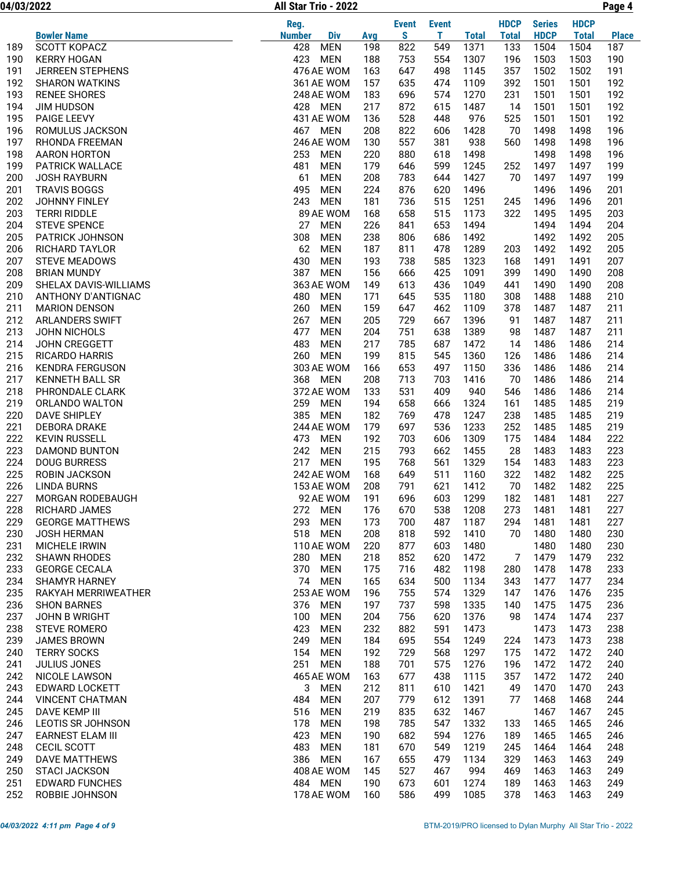04/03/2022 Page 4 All Star Trio - 2022

|            |                                               | Reg.                            |            | <b>Event</b> | <b>Event</b> |              | <b>HDCP</b>  | <b>Series</b> | <b>HDCP</b>  |              |
|------------|-----------------------------------------------|---------------------------------|------------|--------------|--------------|--------------|--------------|---------------|--------------|--------------|
|            | <b>Bowler Name</b>                            | <b>Number</b><br><b>Div</b>     | Avg        | S            | т            | <b>Total</b> | <b>Total</b> | <b>HDCP</b>   | <b>Total</b> | <b>Place</b> |
| 189        | <b>SCOTT KOPACZ</b>                           | 428<br><b>MEN</b>               | 198        | 822          | 549          | 1371         | 133          | 1504          | 1504         | 187          |
| 190        | <b>KERRY HOGAN</b>                            | 423<br><b>MEN</b>               | 188        | 753          | 554          | 1307         | 196          | 1503          | 1503         | 190          |
| 191        | <b>JERREEN STEPHENS</b>                       | 476 AE WOM<br>361 AE WOM        | 163        | 647          | 498          | 1145         | 357          | 1502          | 1502         | 191          |
| 192<br>193 | <b>SHARON WATKINS</b><br><b>RENEE SHORES</b>  | 248 AE WOM                      | 157<br>183 | 635<br>696   | 474<br>574   | 1109<br>1270 | 392<br>231   | 1501<br>1501  | 1501<br>1501 | 192<br>192   |
| 194        | <b>JIM HUDSON</b>                             | 428 MEN                         | 217        | 872          | 615          | 1487         | 14           | 1501          | 1501         | 192          |
| 195        | PAIGE LEEVY                                   | 431 AE WOM                      | 136        | 528          | 448          | 976          | 525          | 1501          | 1501         | 192          |
| 196        | ROMULUS JACKSON                               | 467<br>MEN                      | 208        | 822          | 606          | 1428         | 70           | 1498          | 1498         | 196          |
| 197        | RHONDA FREEMAN                                | 246 AE WOM                      | 130        | 557          | 381          | 938          | 560          | 1498          | 1498         | 196          |
| 198        | <b>AARON HORTON</b>                           | 253<br><b>MEN</b>               | 220        | 880          | 618          | 1498         |              | 1498          | 1498         | 196          |
| 199        | PATRICK WALLACE                               | 481<br><b>MEN</b>               | 179        | 646          | 599          | 1245         | 252          | 1497          | 1497         | 199          |
| 200        | <b>JOSH RAYBURN</b>                           | 61<br><b>MEN</b>                | 208        | 783          | 644          | 1427         | 70           | 1497          | 1497         | 199          |
| 201        | <b>TRAVIS BOGGS</b>                           | 495<br><b>MEN</b>               | 224        | 876          | 620          | 1496         |              | 1496          | 1496         | 201          |
| 202        | JOHNNY FINLEY                                 | 243<br><b>MEN</b>               | 181        | 736          | 515          | 1251         | 245          | 1496          | 1496         | 201          |
| 203        | <b>TERRI RIDDLE</b>                           | 89 AE WOM                       | 168        | 658          | 515          | 1173         | 322          | 1495          | 1495         | 203          |
| 204        | <b>STEVE SPENCE</b>                           | 27<br><b>MEN</b>                | 226        | 841          | 653          | 1494         |              | 1494          | 1494         | 204          |
| 205        | PATRICK JOHNSON                               | 308<br><b>MEN</b>               | 238        | 806          | 686          | 1492         |              | 1492          | 1492         | 205          |
| 206        | <b>RICHARD TAYLOR</b><br><b>STEVE MEADOWS</b> | 62<br><b>MEN</b><br><b>MEN</b>  | 187        | 811          | 478          | 1289         | 203          | 1492          | 1492         | 205          |
| 207<br>208 | <b>BRIAN MUNDY</b>                            | 430<br>387<br><b>MEN</b>        | 193<br>156 | 738<br>666   | 585<br>425   | 1323<br>1091 | 168<br>399   | 1491<br>1490  | 1491<br>1490 | 207<br>208   |
| 209        | SHELAX DAVIS-WILLIAMS                         | 363 AE WOM                      | 149        | 613          | 436          | 1049         | 441          | 1490          | 1490         | 208          |
| 210        | ANTHONY D'ANTIGNAC                            | 480<br><b>MEN</b>               | 171        | 645          | 535          | 1180         | 308          | 1488          | 1488         | 210          |
| 211        | <b>MARION DENSON</b>                          | 260<br><b>MEN</b>               | 159        | 647          | 462          | 1109         | 378          | 1487          | 1487         | 211          |
| 212        | <b>ARLANDERS SWIFT</b>                        | 267<br><b>MEN</b>               | 205        | 729          | 667          | 1396         | 91           | 1487          | 1487         | 211          |
| 213        | JOHN NICHOLS                                  | 477<br><b>MEN</b>               | 204        | 751          | 638          | 1389         | 98           | 1487          | 1487         | 211          |
| 214        | JOHN CREGGETT                                 | 483<br><b>MEN</b>               | 217        | 785          | 687          | 1472         | 14           | 1486          | 1486         | 214          |
| 215        | <b>RICARDO HARRIS</b>                         | 260<br><b>MEN</b>               | 199        | 815          | 545          | 1360         | 126          | 1486          | 1486         | 214          |
| 216        | <b>KENDRA FERGUSON</b>                        | 303 AE WOM                      | 166        | 653          | 497          | 1150         | 336          | 1486          | 1486         | 214          |
| 217        | <b>KENNETH BALL SR</b>                        | 368 MEN                         | 208        | 713          | 703          | 1416         | 70           | 1486          | 1486         | 214          |
| 218        | PHRONDALE CLARK                               | 372 AE WOM                      | 133        | 531          | 409          | 940          | 546          | 1486          | 1486         | 214          |
| 219        | ORLANDO WALTON                                | 259<br><b>MEN</b>               | 194        | 658          | 666          | 1324         | 161          | 1485          | 1485         | 219          |
| 220        | <b>DAVE SHIPLEY</b>                           | 385<br>MEN                      | 182        | 769          | 478          | 1247         | 238          | 1485          | 1485         | 219          |
| 221<br>222 | <b>DEBORA DRAKE</b><br><b>KEVIN RUSSELL</b>   | 244 AE WOM<br>473<br><b>MEN</b> | 179<br>192 | 697<br>703   | 536<br>606   | 1233<br>1309 | 252<br>175   | 1485<br>1484  | 1485<br>1484 | 219<br>222   |
| 223        | <b>DAMOND BUNTON</b>                          | 242<br><b>MEN</b>               | 215        | 793          | 662          | 1455         | 28           | 1483          | 1483         | 223          |
| 224        | <b>DOUG BURRESS</b>                           | 217<br><b>MEN</b>               | 195        | 768          | 561          | 1329         | 154          | 1483          | 1483         | 223          |
| 225        | <b>ROBIN JACKSON</b>                          | 242 AE WOM                      | 168        | 649          | 511          | 1160         | 322          | 1482          | 1482         | 225          |
| 226        | <b>LINDA BURNS</b>                            | 153 AE WOM                      | 208        | 791          | 621          | 1412         | 70           | 1482          | 1482         | 225          |
| 227        | MORGAN RODEBAUGH                              | 92 AE WOM                       | 191        | 696          | 603          | 1299         | 182          | 1481          | 1481         | 227          |
| 228        | RICHARD JAMES                                 | 272<br>MEN                      | 176        | 670          | 538          | 1208         | 273          | 1481          | 1481         | 227          |
| 229        | <b>GEORGE MATTHEWS</b>                        | 293<br><b>MEN</b>               | 173        | 700          | 487          | 1187         | 294          | 1481          | 1481         | 227          |
| 230        | <b>JOSH HERMAN</b>                            | 518<br><b>MEN</b>               | 208        | 818          | 592          | 1410         | 70           | 1480          | 1480         | 230          |
| 231        | MICHELE IRWIN                                 | 110 AE WOM                      | 220        | 877          | 603          | 1480         |              | 1480          | 1480         | 230          |
| 232        | <b>SHAWN RHODES</b>                           | 280<br><b>MEN</b>               | 218        | 852          | 620          | 1472         | 7            | 1479          | 1479         | 232          |
| 233        | <b>GEORGE CECALA</b><br><b>SHAMYR HARNEY</b>  | 370<br><b>MEN</b>               | 175        | 716          | 482          | 1198         | 280          | 1478          | 1478         | 233          |
| 234<br>235 | RAKYAH MERRIWEATHER                           | 74 MEN<br>253 AE WOM            | 165<br>196 | 634<br>755   | 500<br>574   | 1134<br>1329 | 343<br>147   | 1477<br>1476  | 1477<br>1476 | 234<br>235   |
| 236        | <b>SHON BARNES</b>                            | 376<br>MEN                      | 197        | 737          | 598          | 1335         | 140          | 1475          | 1475         | 236          |
| 237        | JOHN B WRIGHT                                 | 100<br><b>MEN</b>               | 204        | 756          | 620          | 1376         | 98           | 1474          | 1474         | 237          |
| 238        | <b>STEVE ROMERO</b>                           | 423<br><b>MEN</b>               | 232        | 882          | 591          | 1473         |              | 1473          | 1473         | 238          |
| 239        | <b>JAMES BROWN</b>                            | 249<br><b>MEN</b>               | 184        | 695          | 554          | 1249         | 224          | 1473          | 1473         | 238          |
| 240        | <b>TERRY SOCKS</b>                            | 154<br><b>MEN</b>               | 192        | 729          | 568          | 1297         | 175          | 1472          | 1472         | 240          |
| 241        | JULIUS JONES                                  | 251<br><b>MEN</b>               | 188        | 701          | 575          | 1276         | 196          | 1472          | 1472         | 240          |
| 242        | NICOLE LAWSON                                 | 465 AE WOM                      | 163        | 677          | 438          | 1115         | 357          | 1472          | 1472         | 240          |
| 243        | EDWARD LOCKETT                                | 3<br><b>MEN</b>                 | 212        | 811          | 610          | 1421         | 49           | 1470          | 1470         | 243          |
| 244        | <b>VINCENT CHATMAN</b>                        | 484<br><b>MEN</b>               | 207        | 779          | 612          | 1391         | 77           | 1468          | 1468         | 244          |
| 245        | DAVE KEMP III                                 | 516<br><b>MEN</b>               | 219        | 835          | 632          | 1467         |              | 1467          | 1467         | 245          |
| 246        | LEOTIS SR JOHNSON                             | 178<br><b>MEN</b>               | 198        | 785          | 547          | 1332         | 133          | 1465          | 1465         | 246          |
| 247<br>248 | <b>EARNEST ELAM III</b><br>CECIL SCOTT        | 423<br>MEN<br>483<br><b>MEN</b> | 190<br>181 | 682<br>670   | 594<br>549   | 1276<br>1219 | 189<br>245   | 1465<br>1464  | 1465<br>1464 | 246<br>248   |
| 249        | <b>DAVE MATTHEWS</b>                          | 386<br><b>MEN</b>               | 167        | 655          | 479          | 1134         | 329          | 1463          | 1463         | 249          |
| 250        | <b>STACI JACKSON</b>                          | 408 AE WOM                      | 145        | 527          | 467          | 994          | 469          | 1463          | 1463         | 249          |
| 251        | <b>EDWARD FUNCHES</b>                         | 484 MEN                         | 190        | 673          | 601          | 1274         | 189          | 1463          | 1463         | 249          |
| 252        | ROBBIE JOHNSON                                | 178 AE WOM                      | 160        | 586          | 499          | 1085         | 378          | 1463          | 1463         | 249          |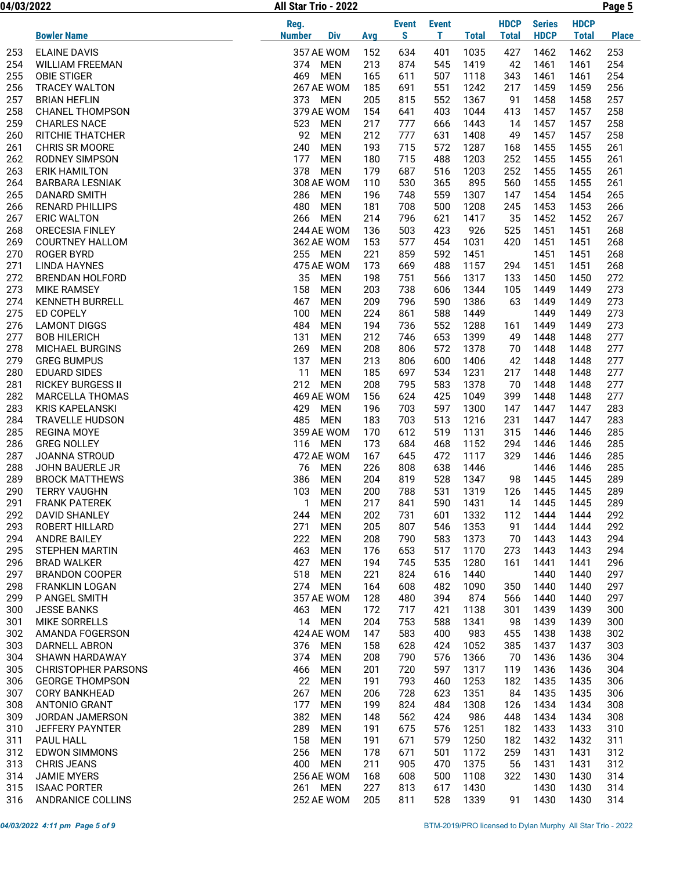04/03/2022 Page 5 All Star Trio - 2022

|            | <b>Bowler Name</b>                           | Reg.<br><b>Number</b> | Div                      | Avg        | <b>Event</b><br>S | <b>Event</b><br>т | <b>Total</b> | <b>HDCP</b><br><b>Total</b> | <b>Series</b><br><b>HDCP</b> | <b>HDCP</b><br><b>Total</b> | <b>Place</b> |
|------------|----------------------------------------------|-----------------------|--------------------------|------------|-------------------|-------------------|--------------|-----------------------------|------------------------------|-----------------------------|--------------|
| 253        | <b>ELAINE DAVIS</b>                          |                       | 357 AE WOM               | 152        | 634               | 401               | 1035         | 427                         | 1462                         | 1462                        | 253          |
| 254        | <b>WILLIAM FREEMAN</b>                       | 374                   | MEN                      | 213        | 874               | 545               | 1419         | 42                          | 1461                         | 1461                        | 254          |
| 255        | <b>OBIE STIGER</b>                           | 469                   | <b>MEN</b>               | 165        | 611               | 507               | 1118         | 343                         | 1461                         | 1461                        | 254          |
| 256        | <b>TRACEY WALTON</b>                         |                       | 267 AE WOM               | 185        | 691               | 551               | 1242         | 217                         | 1459                         | 1459                        | 256          |
| 257        | <b>BRIAN HEFLIN</b>                          | 373 MEN               |                          | 205        | 815               | 552               | 1367         | 91                          | 1458                         | 1458                        | 257          |
| 258        | <b>CHANEL THOMPSON</b>                       |                       | 379 AE WOM               | 154        | 641               | 403               | 1044         | 413                         | 1457                         | 1457                        | 258          |
| 259        | <b>CHARLES NACE</b>                          | 523                   | <b>MEN</b>               | 217        | 777               | 666               | 1443         | 14                          | 1457                         | 1457                        | 258          |
| 260        | RITCHIE THATCHER                             | 92                    | <b>MEN</b>               | 212        | 777               | 631               | 1408         | 49                          | 1457                         | 1457                        | 258          |
| 261        | <b>CHRIS SR MOORE</b>                        | 240                   | <b>MEN</b>               | 193        | 715               | 572               | 1287         | 168                         | 1455                         | 1455                        | 261          |
| 262        | RODNEY SIMPSON                               | 177                   | <b>MEN</b>               | 180        | 715               | 488               | 1203         | 252                         | 1455                         | 1455                        | 261          |
| 263        | <b>ERIK HAMILTON</b>                         | 378                   | <b>MEN</b>               | 179        | 687               | 516               | 1203         | 252                         | 1455                         | 1455                        | 261          |
| 264        | <b>BARBARA LESNIAK</b>                       |                       | 308 AE WOM               | 110        | 530               | 365               | 895          | 560                         | 1455                         | 1455                        | 261          |
| 265        | <b>DANARD SMITH</b>                          | 286                   | <b>MEN</b>               | 196        | 748               | 559               | 1307         | 147                         | 1454                         | 1454                        | 265          |
| 266<br>267 | <b>RENARD PHILLIPS</b>                       | 480<br>266            | <b>MEN</b><br><b>MEN</b> | 181<br>214 | 708<br>796        | 500<br>621        | 1208<br>1417 | 245<br>35                   | 1453<br>1452                 | 1453<br>1452                | 266<br>267   |
| 268        | <b>ERIC WALTON</b><br><b>ORECESIA FINLEY</b> |                       | 244 AE WOM               | 136        | 503               | 423               | 926          | 525                         | 1451                         | 1451                        | 268          |
| 269        | <b>COURTNEY HALLOM</b>                       |                       | 362 AE WOM               | 153        | 577               | 454               | 1031         | 420                         | 1451                         | 1451                        | 268          |
| 270        | <b>ROGER BYRD</b>                            | 255 MEN               |                          | 221        | 859               | 592               | 1451         |                             | 1451                         | 1451                        | 268          |
| 271        | <b>LINDA HAYNES</b>                          |                       | 475 AE WOM               | 173        | 669               | 488               | 1157         | 294                         | 1451                         | 1451                        | 268          |
| 272        | <b>BRENDAN HOLFORD</b>                       | 35                    | <b>MEN</b>               | 198        | 751               | 566               | 1317         | 133                         | 1450                         | 1450                        | 272          |
| 273        | <b>MIKE RAMSEY</b>                           | 158                   | <b>MEN</b>               | 203        | 738               | 606               | 1344         | 105                         | 1449                         | 1449                        | 273          |
| 274        | <b>KENNETH BURRELL</b>                       | 467                   | <b>MEN</b>               | 209        | 796               | 590               | 1386         | 63                          | 1449                         | 1449                        | 273          |
| 275        | ED COPELY                                    | 100                   | <b>MEN</b>               | 224        | 861               | 588               | 1449         |                             | 1449                         | 1449                        | 273          |
| 276        | <b>LAMONT DIGGS</b>                          | 484                   | <b>MEN</b>               | 194        | 736               | 552               | 1288         | 161                         | 1449                         | 1449                        | 273          |
| 277        | <b>BOB HILERICH</b>                          | 131                   | <b>MEN</b>               | 212        | 746               | 653               | 1399         | 49                          | 1448                         | 1448                        | 277          |
| 278        | <b>MICHAEL BURGINS</b>                       | 269                   | <b>MEN</b>               | 208        | 806               | 572               | 1378         | 70                          | 1448                         | 1448                        | 277          |
| 279        | <b>GREG BUMPUS</b>                           | 137                   | <b>MEN</b>               | 213        | 806               | 600               | 1406         | 42                          | 1448                         | 1448                        | 277          |
| 280        | <b>EDUARD SIDES</b>                          | 11                    | <b>MEN</b>               | 185        | 697               | 534               | 1231         | 217                         | 1448                         | 1448                        | 277          |
| 281        | <b>RICKEY BURGESS II</b>                     | 212                   | <b>MEN</b>               | 208        | 795               | 583               | 1378         | 70                          | 1448                         | 1448                        | 277          |
| 282<br>283 | MARCELLA THOMAS<br><b>KRIS KAPELANSKI</b>    | 429                   | 469 AE WOM<br><b>MEN</b> | 156<br>196 | 624<br>703        | 425<br>597        | 1049<br>1300 | 399<br>147                  | 1448<br>1447                 | 1448<br>1447                | 277<br>283   |
| 284        | <b>TRAVELLE HUDSON</b>                       | 485                   | <b>MEN</b>               | 183        | 703               | 513               | 1216         | 231                         | 1447                         | 1447                        | 283          |
| 285        | <b>REGINA MOYE</b>                           |                       | 359 AE WOM               | 170        | 612               | 519               | 1131         | 315                         | 1446                         | 1446                        | 285          |
| 286        | <b>GREG NOLLEY</b>                           | 116 MEN               |                          | 173        | 684               | 468               | 1152         | 294                         | 1446                         | 1446                        | 285          |
| 287        | JOANNA STROUD                                |                       | 472 AE WOM               | 167        | 645               | 472               | 1117         | 329                         | 1446                         | 1446                        | 285          |
| 288        | JOHN BAUERLE JR                              | 76                    | <b>MEN</b>               | 226        | 808               | 638               | 1446         |                             | 1446                         | 1446                        | 285          |
| 289        | <b>BROCK MATTHEWS</b>                        | 386                   | <b>MEN</b>               | 204        | 819               | 528               | 1347         | 98                          | 1445                         | 1445                        | 289          |
| 290        | <b>TERRY VAUGHN</b>                          | 103                   | <b>MEN</b>               | 200        | 788               | 531               | 1319         | 126                         | 1445                         | 1445                        | 289          |
| 291        | <b>FRANK PATEREK</b>                         | 1                     | <b>MEN</b>               | 217        | 841               | 590               | 1431         | 14                          | 1445                         | 1445                        | 289          |
| 292        | <b>DAVID SHANLEY</b>                         | 244                   | <b>MEN</b>               | 202        | 731               | 601               | 1332         | 112                         | 1444                         | 1444                        | 292          |
| 293        | ROBERT HILLARD                               | 271                   | <b>MEN</b>               | 205        | 807               | 546               | 1353         | 91                          | 1444                         | 1444                        | 292          |
| 294        | <b>ANDRE BAILEY</b>                          | 222                   | <b>MEN</b>               | 208        | 790               | 583               | 1373         | 70                          | 1443                         | 1443                        | 294          |
| 295        | <b>STEPHEN MARTIN</b>                        | 463                   | <b>MEN</b>               | 176        | 653               | 517               | 1170         | 273                         | 1443                         | 1443                        | 294          |
| 296<br>297 | <b>BRAD WALKER</b><br><b>BRANDON COOPER</b>  | 427<br>518            | MEN<br><b>MEN</b>        | 194<br>221 | 745<br>824        | 535<br>616        | 1280<br>1440 | 161                         | 1441<br>1440                 | 1441<br>1440                | 296<br>297   |
| 298        | FRANKLIN LOGAN                               | 274                   | <b>MEN</b>               | 164        | 608               | 482               | 1090         | 350                         | 1440                         | 1440                        | 297          |
| 299        | P ANGEL SMITH                                |                       | 357 AE WOM               | 128        | 480               | 394               | 874          | 566                         | 1440                         | 1440                        | 297          |
| 300        | <b>JESSE BANKS</b>                           | 463                   | <b>MEN</b>               | 172        | 717               | 421               | 1138         | 301                         | 1439                         | 1439                        | 300          |
| 301        | <b>MIKE SORRELLS</b>                         | 14                    | <b>MEN</b>               | 204        | 753               | 588               | 1341         | 98                          | 1439                         | 1439                        | 300          |
| 302        | AMANDA FOGERSON                              |                       | 424 AE WOM               | 147        | 583               | 400               | 983          | 455                         | 1438                         | 1438                        | 302          |
| 303        | DARNELL ABRON                                | 376                   | MEN                      | 158        | 628               | 424               | 1052         | 385                         | 1437                         | 1437                        | 303          |
| 304        | <b>SHAWN HARDAWAY</b>                        | 374                   | <b>MEN</b>               | 208        | 790               | 576               | 1366         | 70                          | 1436                         | 1436                        | 304          |
| 305        | <b>CHRISTOPHER PARSONS</b>                   | 466                   | <b>MEN</b>               | 201        | 720               | 597               | 1317         | 119                         | 1436                         | 1436                        | 304          |
| 306        | <b>GEORGE THOMPSON</b>                       | 22                    | MEN                      | 191        | 793               | 460               | 1253         | 182                         | 1435                         | 1435                        | 306          |
| 307        | <b>CORY BANKHEAD</b>                         | 267                   | <b>MEN</b>               | 206        | 728               | 623               | 1351         | 84                          | 1435                         | 1435                        | 306          |
| 308        | <b>ANTONIO GRANT</b>                         | 177                   | <b>MEN</b>               | 199        | 824               | 484               | 1308         | 126                         | 1434                         | 1434                        | 308          |
| 309        | JORDAN JAMERSON                              | 382                   | <b>MEN</b>               | 148        | 562               | 424               | 986          | 448                         | 1434                         | 1434                        | 308          |
| 310        | <b>JEFFERY PAYNTER</b>                       | 289                   | <b>MEN</b>               | 191        | 675               | 576               | 1251         | 182                         | 1433                         | 1433                        | 310          |
| 311<br>312 | PAUL HALL<br>EDWON SIMMONS                   | 158<br>256            | MEN<br><b>MEN</b>        | 191<br>178 | 671<br>671        | 579<br>501        | 1250<br>1172 | 182<br>259                  | 1432<br>1431                 | 1432                        | 311<br>312   |
| 313        | <b>CHRIS JEANS</b>                           | 400                   | <b>MEN</b>               | 211        | 905               | 470               | 1375         | 56                          | 1431                         | 1431<br>1431                | 312          |
| 314        | <b>JAMIE MYERS</b>                           |                       | 256 AE WOM               | 168        | 608               | 500               | 1108         | 322                         | 1430                         | 1430                        | 314          |
| 315        | <b>ISAAC PORTER</b>                          | 261 MEN               |                          | 227        | 813               | 617               | 1430         |                             | 1430                         | 1430                        | 314          |
| 316        | ANDRANICE COLLINS                            |                       | 252 AE WOM               | 205        | 811               | 528               | 1339         | 91                          | 1430                         | 1430                        | 314          |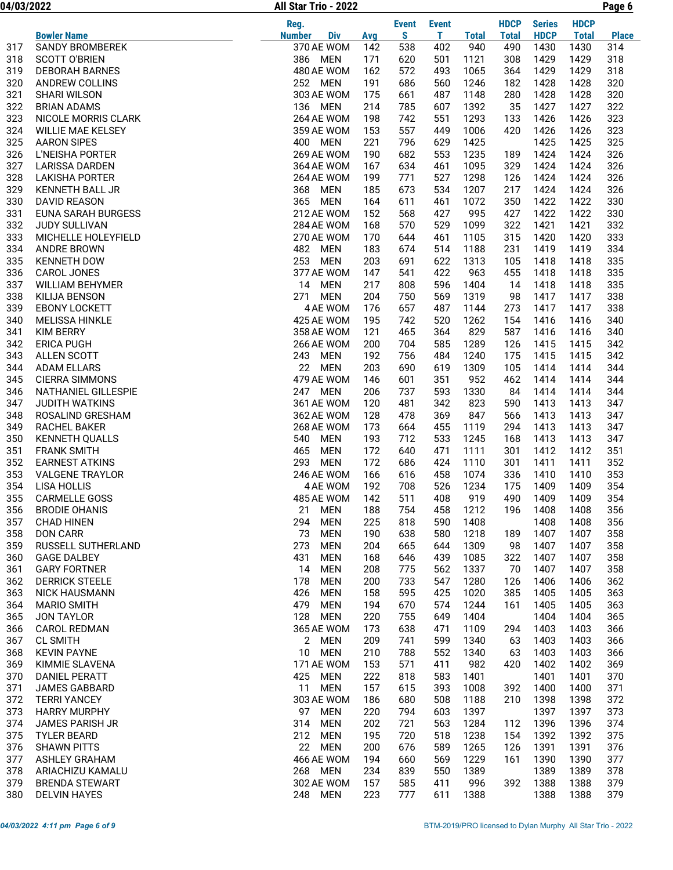04/03/2022 Page 6 All Star Trio - 2022

|     |                           | Reg.                        |     | <b>Event</b> | <b>Event</b> |              | <b>HDCP</b>  | <b>Series</b> | <b>HDCP</b>  |              |
|-----|---------------------------|-----------------------------|-----|--------------|--------------|--------------|--------------|---------------|--------------|--------------|
|     | <b>Bowler Name</b>        | <b>Number</b><br><b>Div</b> | Avg | S            | т            | <b>Total</b> | <b>Total</b> | <b>HDCP</b>   | <b>Total</b> | <b>Place</b> |
| 317 | <b>SANDY BROMBEREK</b>    | 370 AE WOM                  | 142 | 538          | 402          | 940          | 490          | 1430          | 1430         | 314          |
| 318 | SCOTT O'BRIEN             | 386 MEN                     | 171 | 620          | 501          | 1121         | 308          | 1429          | 1429         | 318          |
| 319 | <b>DEBORAH BARNES</b>     | 480 AE WOM                  | 162 | 572          | 493          | 1065         | 364          | 1429          | 1429         | 318          |
| 320 | ANDREW COLLINS            | 252 MEN                     | 191 | 686          | 560          | 1246         | 182          | 1428          | 1428         | 320          |
| 321 | <b>SHARI WILSON</b>       | 303 AE WOM                  | 175 | 661          | 487          | 1148         | 280          | 1428          | 1428         | 320          |
| 322 | <b>BRIAN ADAMS</b>        | 136 MEN                     | 214 | 785          | 607          | 1392         | 35           | 1427          | 1427         | 322          |
| 323 | NICOLE MORRIS CLARK       | 264 AE WOM                  | 198 | 742          | 551          | 1293         | 133          | 1426          | 1426         | 323          |
| 324 | <b>WILLIE MAE KELSEY</b>  | 359 AE WOM                  | 153 | 557          | 449          | 1006         | 420          | 1426          | 1426         | 323          |
| 325 | <b>AARON SIPES</b>        | 400 MEN                     | 221 | 796          | 629          | 1425         |              | 1425          | 1425         | 325          |
| 326 | L'NEISHA PORTER           | 269 AE WOM                  | 190 | 682          | 553          | 1235         | 189          | 1424          | 1424         | 326          |
| 327 | <b>LARISSA DARDEN</b>     | 364 AE WOM                  | 167 | 634          | 461          | 1095         | 329          | 1424          | 1424         | 326          |
| 328 | <b>LAKISHA PORTER</b>     | 264 AE WOM                  | 199 | 771          | 527          | 1298         | 126          | 1424          | 1424         | 326          |
| 329 | KENNETH BALL JR           | 368<br>MEN                  | 185 | 673          | 534          | 1207         | 217          | 1424          | 1424         | 326          |
| 330 | <b>DAVID REASON</b>       | 365 MEN                     | 164 | 611          | 461          | 1072         | 350          | 1422          | 1422         | 330          |
|     |                           |                             |     |              |              |              |              | 1422          |              |              |
| 331 | <b>EUNA SARAH BURGESS</b> | 212 AE WOM                  | 152 | 568          | 427          | 995          | 427          |               | 1422         | 330          |
| 332 | <b>JUDY SULLIVAN</b>      | 284 AE WOM                  | 168 | 570          | 529          | 1099         | 322          | 1421          | 1421         | 332          |
| 333 | MICHELLE HOLEYFIELD       | 270 AE WOM                  | 170 | 644          | 461          | 1105         | 315          | 1420          | 1420         | 333          |
| 334 | <b>ANDRE BROWN</b>        | 482<br>MEN                  | 183 | 674          | 514          | 1188         | 231          | 1419          | 1419         | 334          |
| 335 | <b>KENNETH DOW</b>        | 253<br><b>MEN</b>           | 203 | 691          | 622          | 1313         | 105          | 1418          | 1418         | 335          |
| 336 | <b>CAROL JONES</b>        | 377 AE WOM                  | 147 | 541          | 422          | 963          | 455          | 1418          | 1418         | 335          |
| 337 | <b>WILLIAM BEHYMER</b>    | 14 MEN                      | 217 | 808          | 596          | 1404         | 14           | 1418          | 1418         | 335          |
| 338 | <b>KILIJA BENSON</b>      | 271<br><b>MEN</b>           | 204 | 750          | 569          | 1319         | 98           | 1417          | 1417         | 338          |
| 339 | <b>EBONY LOCKETT</b>      | 4 AE WOM                    | 176 | 657          | 487          | 1144         | 273          | 1417          | 1417         | 338          |
| 340 | <b>MELISSA HINKLE</b>     | 425 AE WOM                  | 195 | 742          | 520          | 1262         | 154          | 1416          | 1416         | 340          |
| 341 | <b>KIM BERRY</b>          | 358 AE WOM                  | 121 | 465          | 364          | 829          | 587          | 1416          | 1416         | 340          |
| 342 | <b>ERICA PUGH</b>         | 266 AE WOM                  | 200 | 704          | 585          | 1289         | 126          | 1415          | 1415         | 342          |
| 343 | <b>ALLEN SCOTT</b>        | 243<br>MEN                  | 192 | 756          | 484          | 1240         | 175          | 1415          | 1415         | 342          |
| 344 | <b>ADAM ELLARS</b>        | 22<br><b>MEN</b>            | 203 | 690          | 619          | 1309         | 105          | 1414          | 1414         | 344          |
| 345 | <b>CIERRA SIMMONS</b>     | 479 AE WOM                  | 146 | 601          | 351          | 952          | 462          | 1414          | 1414         | 344          |
| 346 | NATHANIEL GILLESPIE       | 247 MEN                     | 206 | 737          | 593          | 1330         | 84           | 1414          | 1414         | 344          |
| 347 | <b>JUDITH WATKINS</b>     | 361 AE WOM                  | 120 | 481          | 342          | 823          | 590          | 1413          | 1413         | 347          |
| 348 | ROSALIND GRESHAM          | 362 AE WOM                  | 128 | 478          | 369          | 847          | 566          | 1413          | 1413         | 347          |
| 349 | RACHEL BAKER              | 268 AE WOM                  | 173 | 664          | 455          | 1119         | 294          | 1413          | 1413         | 347          |
| 350 | <b>KENNETH QUALLS</b>     | 540<br><b>MEN</b>           | 193 | 712          | 533          | 1245         | 168          | 1413          | 1413         | 347          |
| 351 | <b>FRANK SMITH</b>        | 465<br><b>MEN</b>           | 172 | 640          | 471          | 1111         | 301          | 1412          | 1412         | 351          |
| 352 | <b>EARNEST ATKINS</b>     | 293<br><b>MEN</b>           | 172 | 686          | 424          | 1110         | 301          | 1411          | 1411         | 352          |
| 353 | <b>VALGENE TRAYLOR</b>    | 246 AE WOM                  | 166 | 616          | 458          | 1074         | 336          | 1410          | 1410         | 353          |
| 354 | LISA HOLLIS               | 4 AE WOM                    | 192 | 708          | 526          | 1234         | 175          | 1409          | 1409         | 354          |
| 355 | <b>CARMELLE GOSS</b>      | 485 AE WOM                  | 142 | 511          | 408          | 919          | 490          | 1409          | 1409         | 354          |
| 356 | <b>BRODIE OHANIS</b>      | 21 MEN                      | 188 | 754          | 458          | 1212         | 196          | 1408          | 1408         | 356          |
| 357 | <b>CHAD HINEN</b>         | 294<br><b>MEN</b>           | 225 | 818          | 590          | 1408         |              | 1408          | 1408         | 356          |
| 358 | <b>DON CARR</b>           | 73<br><b>MEN</b>            | 190 | 638          | 580          | 1218         | 189          | 1407          | 1407         | 358          |
| 359 | RUSSELL SUTHERLAND        | 273<br>MEN                  | 204 | 665          | 644          | 1309         | 98           | 1407          | 1407         | 358          |
| 360 | <b>GAGE DALBEY</b>        | 431<br><b>MEN</b>           | 168 | 646          | 439          | 1085         | 322          | 1407          | 1407         | 358          |
| 361 | <b>GARY FORTNER</b>       | 14<br><b>MEN</b>            | 208 | 775          | 562          | 1337         | 70           | 1407          | 1407         | 358          |
| 362 | <b>DERRICK STEELE</b>     | 178<br><b>MEN</b>           | 200 | 733          | 547          | 1280         | 126          | 1406          | 1406         | 362          |
| 363 | <b>NICK HAUSMANN</b>      | 426<br>MEN                  | 158 | 595          | 425          | 1020         | 385          | 1405          | 1405         | 363          |
| 364 | <b>MARIO SMITH</b>        | 479<br><b>MEN</b>           | 194 | 670          | 574          | 1244         | 161          | 1405          | 1405         | 363          |
| 365 |                           |                             |     |              |              |              |              |               |              |              |
|     | <b>JON TAYLOR</b>         | 128<br>MEN                  | 220 | 755          | 649          | 1404         |              | 1404          | 1404         | 365          |
| 366 | <b>CAROL REDMAN</b>       | 365 AE WOM                  | 173 | 638          | 471          | 1109         | 294          | 1403          | 1403         | 366          |
| 367 | <b>CL SMITH</b>           | $2^{\circ}$<br><b>MEN</b>   | 209 | 741          | 599          | 1340         | 63           | 1403          | 1403         | 366          |
| 368 | <b>KEVIN PAYNE</b>        | 10<br><b>MEN</b>            | 210 | 788          | 552          | 1340         | 63           | 1403          | 1403         | 366          |
| 369 | KIMMIE SLAVENA            | 171 AE WOM                  | 153 | 571          | 411          | 982          | 420          | 1402          | 1402         | 369          |
| 370 | DANIEL PERATT             | 425<br><b>MEN</b>           | 222 | 818          | 583          | 1401         |              | 1401          | 1401         | 370          |
| 371 | <b>JAMES GABBARD</b>      | 11<br><b>MEN</b>            | 157 | 615          | 393          | 1008         | 392          | 1400          | 1400         | 371          |
| 372 | <b>TERRI YANCEY</b>       | 303 AE WOM                  | 186 | 680          | 508          | 1188         | 210          | 1398          | 1398         | 372          |
| 373 | <b>HARRY MURPHY</b>       | <b>MEN</b><br>97            | 220 | 794          | 603          | 1397         |              | 1397          | 1397         | 373          |
| 374 | JAMES PARISH JR           | <b>MEN</b><br>314           | 202 | 721          | 563          | 1284         | 112          | 1396          | 1396         | 374          |
| 375 | <b>TYLER BEARD</b>        | 212<br><b>MEN</b>           | 195 | 720          | 518          | 1238         | 154          | 1392          | 1392         | 375          |
| 376 | <b>SHAWN PITTS</b>        | 22<br>MEN                   | 200 | 676          | 589          | 1265         | 126          | 1391          | 1391         | 376          |
| 377 | <b>ASHLEY GRAHAM</b>      | 466 AE WOM                  | 194 | 660          | 569          | 1229         | 161          | 1390          | 1390         | 377          |
| 378 | ARIACHIZU KAMALU          | 268 MEN                     | 234 | 839          | 550          | 1389         |              | 1389          | 1389         | 378          |
| 379 | <b>BRENDA STEWART</b>     | 302 AE WOM                  | 157 | 585          | 411          | 996          | 392          | 1388          | 1388         | 379          |
| 380 | <b>DELVIN HAYES</b>       | 248 MEN                     | 223 | 777          | 611          | 1388         |              | 1388          | 1388         | 379          |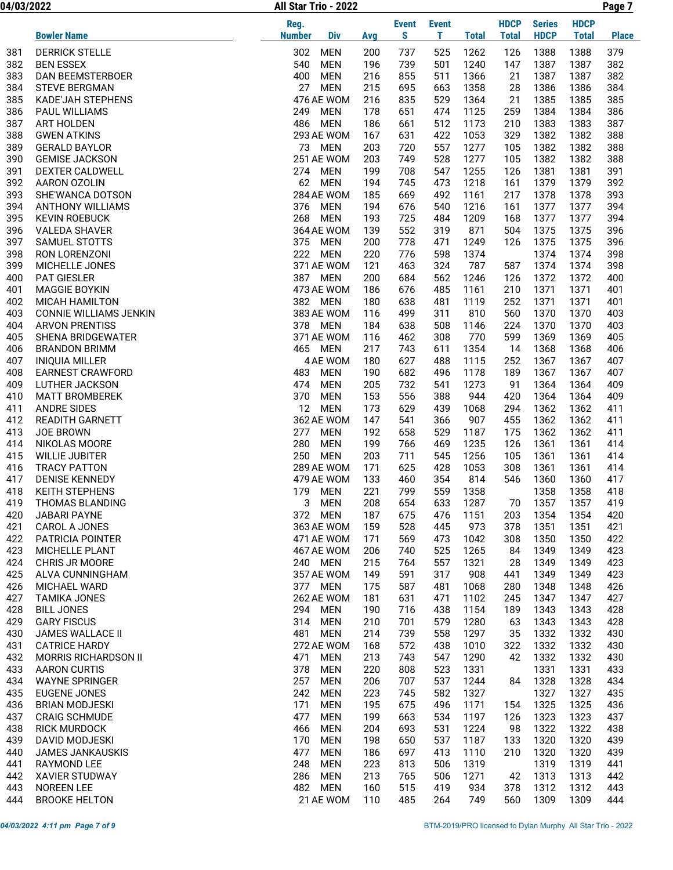04/03/2022 Page 7 All Star Trio - 2022

|            |                                              | Reg.                            |            | <b>Event</b> | <b>Event</b> |              | <b>HDCP</b>  | <b>Series</b> | <b>HDCP</b>  |              |
|------------|----------------------------------------------|---------------------------------|------------|--------------|--------------|--------------|--------------|---------------|--------------|--------------|
|            | <b>Bowler Name</b>                           | <b>Number</b><br><b>Div</b>     | Avg        | S            | т            | <b>Total</b> | <b>Total</b> | <b>HDCP</b>   | <b>Total</b> | <b>Place</b> |
| 381        | <b>DERRICK STELLE</b>                        | 302<br><b>MEN</b>               | 200        | 737          | 525          | 1262         | 126          | 1388          | 1388         | 379          |
| 382        | <b>BEN ESSEX</b>                             | 540<br><b>MEN</b>               | 196        | 739          | 501          | 1240         | 147          | 1387          | 1387         | 382          |
| 383        | DAN BEEMSTERBOER                             | 400<br><b>MEN</b>               | 216        | 855          | 511          | 1366         | 21           | 1387          | 1387         | 382          |
| 384        | <b>STEVE BERGMAN</b>                         | 27<br><b>MEN</b>                | 215        | 695          | 663          | 1358         | 28           | 1386          | 1386         | 384          |
| 385        | <b>KADE'JAH STEPHENS</b>                     | 476 AE WOM                      | 216        | 835          | 529          | 1364         | 21           | 1385          | 1385         | 385          |
| 386        | PAUL WILLIAMS                                | <b>MEN</b><br>249               | 178        | 651          | 474          | 1125         | 259          | 1384          | 1384         | 386          |
| 387        | <b>ART HOLDEN</b>                            | 486<br>MEN                      | 186        | 661          | 512          | 1173         | 210          | 1383          | 1383         | 387          |
| 388        | <b>GWEN ATKINS</b>                           | 293 AE WOM                      | 167        | 631          | 422          | 1053         | 329          | 1382          | 1382         | 388          |
| 389        | <b>GERALD BAYLOR</b>                         | 73<br>MEN                       | 203        | 720          | 557          | 1277         | 105          | 1382          | 1382         | 388          |
| 390        | <b>GEMISE JACKSON</b>                        | 251 AE WOM<br><b>MEN</b>        | 203        | 749          | 528<br>547   | 1277         | 105          | 1382          | 1382         | 388          |
| 391<br>392 | DEXTER CALDWELL<br>AARON OZOLIN              | 274<br>62 MEN                   | 199<br>194 | 708<br>745   | 473          | 1255<br>1218 | 126<br>161   | 1381<br>1379  | 1381<br>1379 | 391<br>392   |
| 393        | SHE'WANCA DOTSON                             | 284 AE WOM                      | 185        | 669          | 492          | 1161         | 217          | 1378          | 1378         | 393          |
| 394        | <b>ANTHONY WILLIAMS</b>                      | 376<br>MEN                      | 194        | 676          | 540          | 1216         | 161          | 1377          | 1377         | 394          |
| 395        | <b>KEVIN ROEBUCK</b>                         | 268<br><b>MEN</b>               | 193        | 725          | 484          | 1209         | 168          | 1377          | 1377         | 394          |
| 396        | <b>VALEDA SHAVER</b>                         | 364 AE WOM                      | 139        | 552          | 319          | 871          | 504          | 1375          | 1375         | 396          |
| 397        | SAMUEL STOTTS                                | 375<br>MEN                      | 200        | 778          | 471          | 1249         | 126          | 1375          | 1375         | 396          |
| 398        | RON LORENZONI                                | 222<br>MEN                      | 220        | 776          | 598          | 1374         |              | 1374          | 1374         | 398          |
| 399        | MICHELLE JONES                               | 371 AE WOM                      | 121        | 463          | 324          | 787          | 587          | 1374          | 1374         | 398          |
| 400        | <b>PAT GIESLER</b>                           | 387 MEN                         | 200        | 684          | 562          | 1246         | 126          | 1372          | 1372         | 400          |
| 401        | <b>MAGGIE BOYKIN</b>                         | 473 AE WOM                      | 186        | 676          | 485          | 1161         | 210          | 1371          | 1371         | 401          |
| 402        | <b>MICAH HAMILTON</b>                        | 382 MEN                         | 180        | 638          | 481          | 1119         | 252          | 1371          | 1371         | 401          |
| 403        | <b>CONNIE WILLIAMS JENKIN</b>                | 383 AE WOM                      | 116        | 499          | 311          | 810          | 560          | 1370          | 1370         | 403          |
| 404        | <b>ARVON PRENTISS</b>                        | 378<br>MEN                      | 184        | 638          | 508          | 1146         | 224          | 1370          | 1370         | 403          |
| 405<br>406 | SHENA BRIDGEWATER<br><b>BRANDON BRIMM</b>    | 371 AE WOM<br>465<br>MEN        | 116<br>217 | 462<br>743   | 308<br>611   | 770<br>1354  | 599<br>14    | 1369<br>1368  | 1369<br>1368 | 405<br>406   |
| 407        | <b>INIQUIA MILLER</b>                        | 4 AE WOM                        | 180        | 627          | 488          | 1115         | 252          | 1367          | 1367         | 407          |
| 408        | <b>EARNEST CRAWFORD</b>                      | 483<br>MEN                      | 190        | 682          | 496          | 1178         | 189          | 1367          | 1367         | 407          |
| 409        | <b>LUTHER JACKSON</b>                        | 474<br>MEN                      | 205        | 732          | 541          | 1273         | 91           | 1364          | 1364         | 409          |
| 410        | <b>MATT BROMBEREK</b>                        | 370<br><b>MEN</b>               | 153        | 556          | 388          | 944          | 420          | 1364          | 1364         | 409          |
| 411        | <b>ANDRE SIDES</b>                           | 12<br><b>MEN</b>                | 173        | 629          | 439          | 1068         | 294          | 1362          | 1362         | 411          |
| 412        | <b>READITH GARNETT</b>                       | 362 AE WOM                      | 147        | 541          | 366          | 907          | 455          | 1362          | 1362         | 411          |
| 413        | <b>JOE BROWN</b>                             | 277<br><b>MEN</b>               | 192        | 658          | 529          | 1187         | 175          | 1362          | 1362         | 411          |
| 414        | NIKOLAS MOORE                                | 280<br><b>MEN</b>               | 199        | 766          | 469          | 1235         | 126          | 1361          | 1361         | 414          |
| 415        | <b>WILLIE JUBITER</b>                        | 250<br><b>MEN</b>               | 203        | 711          | 545          | 1256         | 105          | 1361          | 1361         | 414          |
| 416        | <b>TRACY PATTON</b>                          | 289 AE WOM                      | 171        | 625          | 428          | 1053         | 308          | 1361          | 1361         | 414          |
| 417        | <b>DENISE KENNEDY</b>                        | 479 AE WOM                      | 133        | 460          | 354          | 814          | 546          | 1360          | 1360         | 417          |
| 418        | <b>KEITH STEPHENS</b>                        | 179<br>MEN                      | 221        | 799          | 559          | 1358         |              | 1358          | 1358         | 418          |
| 419<br>420 | THOMAS BLANDING<br><b>JABARI PAYNE</b>       | 3<br><b>MEN</b><br>372 MEN      | 208<br>187 | 654<br>675   | 633<br>476   | 1287<br>1151 | 70<br>203    | 1357<br>1354  | 1357<br>1354 | 419<br>420   |
| 421        | CAROL A JONES                                | 363 AE WOM                      | 159        | 528          | 445          | 973          | 378          | 1351          | 1351         | 421          |
| 422        | PATRICIA POINTER                             | 471 AE WOM                      | 171        | 569          | 473          | 1042         | 308          | 1350          | 1350         | 422          |
| 423        | MICHELLE PLANT                               | 467 AE WOM                      | 206        | 740          | 525          | 1265         | 84           | 1349          | 1349         | 423          |
| 424        | CHRIS JR MOORE                               | 240 MEN                         | 215        | 764          | 557          | 1321         | 28           | 1349          | 1349         | 423          |
| 425        | ALVA CUNNINGHAM                              | 357 AE WOM                      | 149        | 591          | 317          | 908          | 441          | 1349          | 1349         | 423          |
| 426        | <b>MICHAEL WARD</b>                          | 377 MEN                         | 175        | 587          | 481          | 1068         | 280          | 1348          | 1348         | 426          |
| 427        | <b>TAMIKA JONES</b>                          | 262 AE WOM                      | 181        | 631          | 471          | 1102         | 245          | 1347          | 1347         | 427          |
| 428        | <b>BILL JONES</b>                            | 294 MEN                         | 190        | 716          | 438          | 1154         | 189          | 1343          | 1343         | 428          |
| 429        | <b>GARY FISCUS</b>                           | 314<br><b>MEN</b>               | 210        | 701          | 579          | 1280         | 63           | 1343          | 1343         | 428          |
| 430        | JAMES WALLACE II                             | 481<br><b>MEN</b>               | 214        | 739          | 558          | 1297         | 35           | 1332          | 1332         | 430          |
| 431        | <b>CATRICE HARDY</b>                         | 272 AE WOM                      | 168        | 572          | 438          | 1010         | 322          | 1332          | 1332         | 430          |
| 432        | <b>MORRIS RICHARDSON II</b>                  | <b>MEN</b><br>471<br>378        | 213        | 743          | 547          | 1290         | 42           | 1332          | 1332         | 430          |
| 433<br>434 | <b>AARON CURTIS</b><br><b>WAYNE SPRINGER</b> | <b>MEN</b><br>257<br><b>MEN</b> | 220<br>206 | 808<br>707   | 523<br>537   | 1331<br>1244 | 84           | 1331<br>1328  | 1331<br>1328 | 433<br>434   |
| 435        | <b>EUGENE JONES</b>                          | 242<br><b>MEN</b>               | 223        | 745          | 582          | 1327         |              | 1327          | 1327         | 435          |
| 436        | <b>BRIAN MODJESKI</b>                        | 171<br><b>MEN</b>               | 195        | 675          | 496          | 1171         | 154          | 1325          | 1325         | 436          |
| 437        | <b>CRAIG SCHMUDE</b>                         | 477<br><b>MEN</b>               | 199        | 663          | 534          | 1197         | 126          | 1323          | 1323         | 437          |
| 438        | <b>RICK MURDOCK</b>                          | 466<br><b>MEN</b>               | 204        | 693          | 531          | 1224         | 98           | 1322          | 1322         | 438          |
| 439        | DAVID MODJESKI                               | 170<br>MEN                      | 198        | 650          | 537          | 1187         | 133          | 1320          | 1320         | 439          |
| 440        | <b>JAMES JANKAUSKIS</b>                      | 477<br><b>MEN</b>               | 186        | 697          | 413          | 1110         | 210          | 1320          | 1320         | 439          |
| 441        | RAYMOND LEE                                  | <b>MEN</b><br>248               | 223        | 813          | 506          | 1319         |              | 1319          | 1319         | 441          |
| 442        | <b>XAVIER STUDWAY</b>                        | 286<br><b>MEN</b>               | 213        | 765          | 506          | 1271         | 42           | 1313          | 1313         | 442          |
| 443        | <b>NOREEN LEE</b>                            | 482<br><b>MEN</b>               | 160        | 515          | 419          | 934          | 378          | 1312          | 1312         | 443          |
| 444        | <b>BROOKE HELTON</b>                         | 21 AE WOM                       | 110        | 485          | 264          | 749          | 560          | 1309          | 1309         | 444          |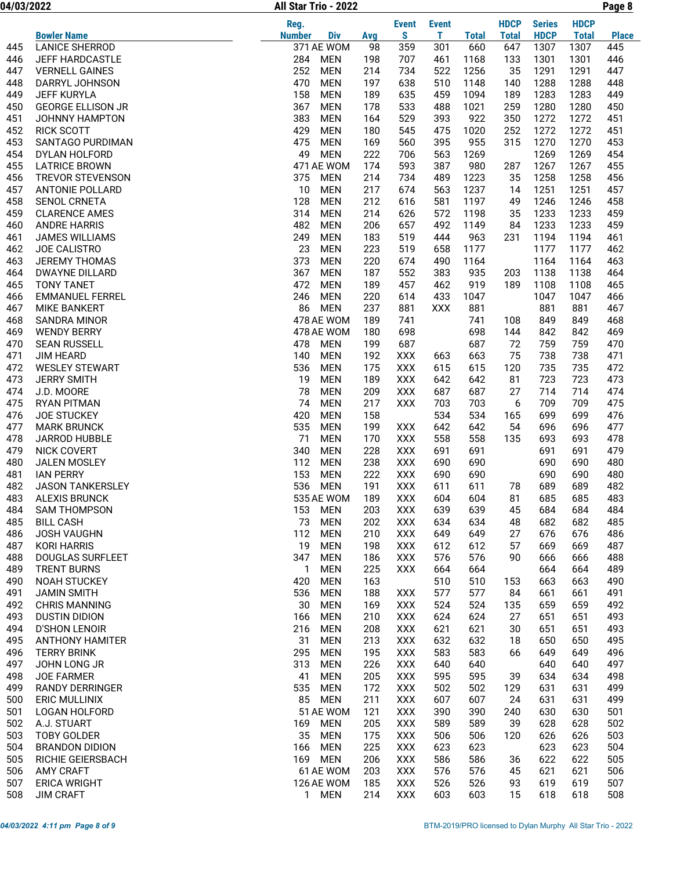04/03/2022 Page 8 All Star Trio - 2022

|     |                          | Reg.                        |     | <b>Event</b> | <b>Event</b> |              | <b>HDCP</b>  | <b>Series</b> | <b>HDCP</b>  |              |
|-----|--------------------------|-----------------------------|-----|--------------|--------------|--------------|--------------|---------------|--------------|--------------|
|     | <b>Bowler Name</b>       | <b>Number</b><br><b>Div</b> | Avg | S            | Т            | <b>Total</b> | <b>Total</b> | <b>HDCP</b>   | <b>Total</b> | <b>Place</b> |
| 445 | <b>LANICE SHERROD</b>    | 371 AE WOM                  | 98  | 359          | 301          | 660          | 647          | 1307          | 1307         | 445          |
| 446 | <b>JEFF HARDCASTLE</b>   | 284<br>MEN                  | 198 | 707          | 461          | 1168         | 133          | 1301          | 1301         | 446          |
| 447 | <b>VERNELL GAINES</b>    | 252<br><b>MEN</b>           | 214 | 734          | 522          | 1256         | 35           | 1291          | 1291         | 447          |
| 448 | DARRYL JOHNSON           | 470<br><b>MEN</b>           | 197 | 638          | 510          | 1148         | 140          | 1288          | 1288         | 448          |
| 449 | <b>JEFF KURYLA</b>       | 158<br><b>MEN</b>           | 189 | 635          | 459          | 1094         | 189          | 1283          | 1283         | 449          |
| 450 | <b>GEORGE ELLISON JR</b> | 367<br><b>MEN</b>           | 178 | 533          | 488          | 1021         | 259          | 1280          | 1280         | 450          |
| 451 | JOHNNY HAMPTON           | 383<br><b>MEN</b>           | 164 | 529          | 393          | 922          | 350          | 1272          | 1272         | 451          |
| 452 | <b>RICK SCOTT</b>        | 429<br><b>MEN</b>           | 180 | 545          | 475          | 1020         | 252          | 1272          | 1272         | 451          |
| 453 | SANTAGO PURDIMAN         | 475<br><b>MEN</b>           | 169 | 560          | 395          | 955          | 315          | 1270          | 1270         | 453          |
| 454 | <b>DYLAN HOLFORD</b>     | 49<br><b>MEN</b>            | 222 | 706          | 563          | 1269         |              | 1269          | 1269         | 454          |
| 455 | <b>LATRICE BROWN</b>     | 471 AE WOM                  | 174 | 593          | 387          | 980          | 287          | 1267          | 1267         | 455          |
| 456 | <b>TREVOR STEVENSON</b>  | 375<br><b>MEN</b>           | 214 | 734          | 489          | 1223         | 35           | 1258          | 1258         | 456          |
| 457 | <b>ANTONIE POLLARD</b>   | 10<br><b>MEN</b>            | 217 | 674          | 563          | 1237         | 14           | 1251          | 1251         | 457          |
| 458 | <b>SENOL CRNETA</b>      | 128<br><b>MEN</b>           | 212 | 616          | 581          | 1197         | 49           | 1246          | 1246         | 458          |
| 459 | <b>CLARENCE AMES</b>     | 314<br><b>MEN</b>           | 214 | 626          | 572          | 1198         | 35           | 1233          | 1233         | 459          |
| 460 | <b>ANDRE HARRIS</b>      | 482<br><b>MEN</b>           | 206 | 657          | 492          | 1149         | 84           | 1233          | 1233         | 459          |
| 461 | <b>JAMES WILLIAMS</b>    | 249<br><b>MEN</b>           | 183 | 519          | 444          | 963          | 231          | 1194          | 1194         | 461          |
| 462 | <b>JOE CALISTRO</b>      | 23<br><b>MEN</b>            | 223 | 519          | 658          | 1177         |              | 1177          | 1177         | 462          |
| 463 | <b>JEREMY THOMAS</b>     | 373<br><b>MEN</b>           | 220 | 674          | 490          | 1164         |              | 1164          | 1164         | 463          |
| 464 | <b>DWAYNE DILLARD</b>    | 367<br><b>MEN</b>           | 187 | 552          | 383          | 935          | 203          | 1138          | 1138         | 464          |
| 465 | <b>TONY TANET</b>        | 472<br><b>MEN</b>           | 189 | 457          | 462          | 919          | 189          | 1108          | 1108         | 465          |
| 466 | <b>EMMANUEL FERREL</b>   | 246<br><b>MEN</b>           | 220 | 614          | 433          | 1047         |              | 1047          | 1047         | 466          |
| 467 | <b>MIKE BANKERT</b>      | 86<br><b>MEN</b>            | 237 | 881          | XXX          | 881          |              | 881           | 881          | 467          |
| 468 | <b>SANDRA MINOR</b>      | 478 AE WOM                  | 189 | 741          |              | 741          | 108          | 849           | 849          | 468          |
| 469 | <b>WENDY BERRY</b>       | 478 AE WOM                  | 180 | 698          |              | 698          | 144          | 842           | 842          | 469          |
| 470 | <b>SEAN RUSSELL</b>      | 478<br><b>MEN</b>           | 199 | 687          |              | 687          | 72           | 759           | 759          | 470          |
| 471 | <b>JIM HEARD</b>         | 140<br><b>MEN</b>           | 192 | <b>XXX</b>   | 663          | 663          | 75           | 738           | 738          | 471          |
| 472 | <b>WESLEY STEWART</b>    | 536<br><b>MEN</b>           | 175 | XXX          | 615          | 615          | 120          | 735           | 735          | 472          |
| 473 | <b>JERRY SMITH</b>       | 19<br><b>MEN</b>            | 189 | <b>XXX</b>   | 642          | 642          | 81           | 723           | 723          | 473          |
| 474 | J.D. MOORE               | 78<br><b>MEN</b>            | 209 | XXX          | 687          | 687          | 27           | 714           | 714          | 474          |
| 475 | <b>RYAN PITMAN</b>       | 74<br><b>MEN</b>            | 217 | <b>XXX</b>   | 703          | 703          | 6            | 709           | 709          | 475          |
| 476 | <b>JOE STUCKEY</b>       | 420<br><b>MEN</b>           | 158 |              | 534          | 534          | 165          | 699           | 699          | 476          |
| 477 | <b>MARK BRUNCK</b>       | 535<br><b>MEN</b>           | 199 | <b>XXX</b>   | 642          | 642          | 54           | 696           | 696          | 477          |
| 478 | <b>JARROD HUBBLE</b>     | 71<br><b>MEN</b>            | 170 | <b>XXX</b>   | 558          | 558          | 135          | 693           | 693          | 478          |
| 479 | <b>NICK COVERT</b>       | 340<br><b>MEN</b>           | 228 | <b>XXX</b>   | 691          | 691          |              | 691           | 691          | 479          |
| 480 | <b>JALEN MOSLEY</b>      | 112<br><b>MEN</b>           | 238 | <b>XXX</b>   | 690          | 690          |              | 690           | 690          | 480          |
| 481 | <b>IAN PERRY</b>         | 153<br>MEN                  | 222 | <b>XXX</b>   | 690          | 690          |              | 690           | 690          | 480          |
| 482 | <b>JASON TANKERSLEY</b>  | 536<br><b>MEN</b>           | 191 | XXX          | 611          | 611          | 78           | 689           | 689          | 482          |
| 483 | <b>ALEXIS BRUNCK</b>     | 535 AE WOM                  | 189 | <b>XXX</b>   | 604          | 604          | 81           | 685           | 685          | 483          |
| 484 | SAM THOMPSON             | 153 MEN                     | 203 | XXX          | 639          | 639          | 45           | 684           | 684          | 484          |
| 485 | <b>BILL CASH</b>         | 73<br><b>MEN</b>            | 202 | XXX          | 634          | 634          | 48           | 682           | 682          | 485          |
| 486 | <b>JOSH VAUGHN</b>       | 112<br><b>MEN</b>           | 210 | XXX          | 649          | 649          | 27           | 676           | 676          | 486          |
| 487 | <b>KORI HARRIS</b>       | 19<br><b>MEN</b>            | 198 | XXX          | 612          | 612          | 57           | 669           | 669          | 487          |
| 488 | <b>DOUGLAS SURFLEET</b>  | 347<br><b>MEN</b>           | 186 | <b>XXX</b>   | 576          | 576          | 90           | 666           | 666          | 488          |
| 489 | <b>TRENT BURNS</b>       | 1<br><b>MEN</b>             | 225 | <b>XXX</b>   | 664          | 664          |              | 664           | 664          | 489          |
| 490 | NOAH STUCKEY             | 420<br><b>MEN</b>           | 163 |              | 510          | 510          | 153          | 663           | 663          | 490          |
| 491 | <b>JAMIN SMITH</b>       | 536<br>MEN                  | 188 | <b>XXX</b>   | 577          | 577          | 84           | 661           | 661          | 491          |
| 492 | <b>CHRIS MANNING</b>     | 30<br><b>MEN</b>            | 169 | XXX          | 524          | 524          | 135          | 659           | 659          | 492          |
| 493 | <b>DUSTIN DIDION</b>     | 166<br>MEN                  | 210 | <b>XXX</b>   | 624          | 624          | 27           | 651           | 651          | 493          |
| 494 | <b>D'SHON LENOIR</b>     | 216<br><b>MEN</b>           | 208 | <b>XXX</b>   | 621          | 621          | 30           | 651           | 651          | 493          |
| 495 | <b>ANTHONY HAMITER</b>   | 31<br><b>MEN</b>            | 213 | <b>XXX</b>   | 632          | 632          | 18           | 650           | 650          | 495          |
| 496 | <b>TERRY BRINK</b>       | 295<br><b>MEN</b>           | 195 | <b>XXX</b>   | 583          | 583          | 66           | 649           | 649          | 496          |
| 497 | JOHN LONG JR             | 313<br><b>MEN</b>           | 226 | XXX          | 640          | 640          |              | 640           | 640          | 497          |
| 498 | <b>JOE FARMER</b>        | 41<br><b>MEN</b>            | 205 | <b>XXX</b>   | 595          | 595          | 39           | 634           | 634          | 498          |
| 499 | <b>RANDY DERRINGER</b>   | 535<br><b>MEN</b>           | 172 | <b>XXX</b>   | 502          | 502          | 129          | 631           | 631          | 499          |
| 500 | <b>ERIC MULLINIX</b>     | 85<br><b>MEN</b>            | 211 | XXX          | 607          | 607          | 24           | 631           | 631          | 499          |
| 501 | <b>LOGAN HOLFORD</b>     | 51 AE WOM                   | 121 | XXX          | 390          | 390          | 240          | 630           | 630          | 501          |
| 502 | A.J. STUART              | 169<br><b>MEN</b>           | 205 | <b>XXX</b>   | 589          | 589          | 39           | 628           | 628          | 502          |
| 503 | <b>TOBY GOLDER</b>       | 35<br><b>MEN</b>            | 175 | <b>XXX</b>   | 506          | 506          | 120          | 626           | 626          | 503          |
| 504 | <b>BRANDON DIDION</b>    | 166<br><b>MEN</b>           | 225 | <b>XXX</b>   | 623          | 623          |              | 623           | 623          | 504          |
| 505 | <b>RICHIE GEIERSBACH</b> | 169<br><b>MEN</b>           | 206 | <b>XXX</b>   | 586          | 586          | 36           | 622           | 622          | 505          |
| 506 | <b>AMY CRAFT</b>         | 61 AE WOM                   | 203 | XXX          | 576          | 576          | 45           | 621           | 621          | 506          |
| 507 | <b>ERICA WRIGHT</b>      | 126 AE WOM                  | 185 | XXX          | 526          | 526          | 93           | 619           | 619          | 507          |
| 508 | <b>JIM CRAFT</b>         | $\mathbf{1}$<br><b>MEN</b>  | 214 | XXX          | 603          | 603          | 15           | 618           | 618          | 508          |
|     |                          |                             |     |              |              |              |              |               |              |              |